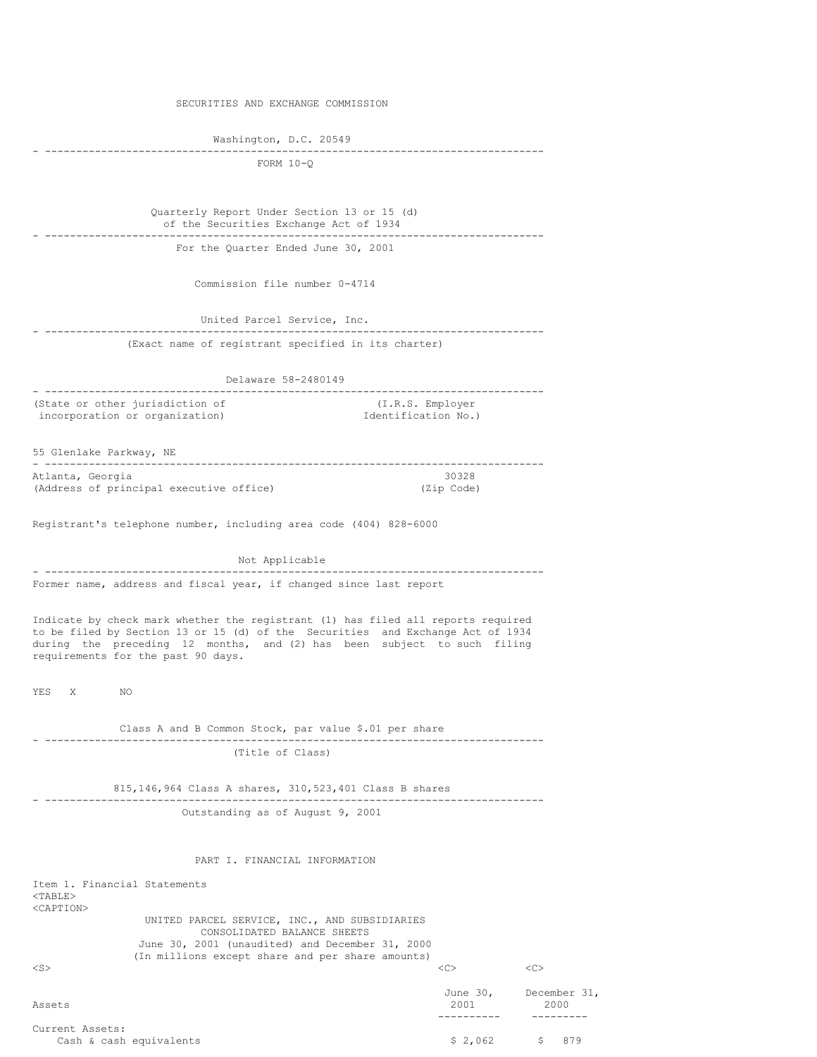SECURITIES AND EXCHANGE COMMISSION

Washington, D.C. 20549 - --------------------------------------------------------------------------------

FORM 10-Q

Quarterly Report Under Section 13 or 15 (d) of the Securities Exchange Act of 1934 - -------------------------------------------------------------------------------- For the Quarter Ended June 30, 2001

Commission file number 0-4714

United Parcel Service, Inc. - -------------------------------------------------------------------------------- (Exact name of registrant specified in its charter)

Delaware 58-2480149 - -------------------------------------------------------------------------------- (State or other jurisdiction of  $(1.R.S.$  Employer incorporation or organization)  $\qquad \qquad$  Identification No.) incorporation or organization)

55 Glenlake Parkway, NE - -------------------------------------------------------------------------------- Atlanta, Georgia 19328<br>
(Address of principal executive office) 1982 (Zip Code) (Address of principal executive office)

Registrant's telephone number, including area code (404) 828-6000

Not Applicable - -------------------------------------------------------------------------------- Former name, address and fiscal year, if changed since last report

Indicate by check mark whether the registrant (1) has filed all reports required to be filed by Section 13 or 15 (d) of the Securities and Exchange Act of 1934 during the preceding 12 months, and (2) has been subject to such filing requirements for the past 90 days.

YES X NO

Class A and B Common Stock, par value \$.01 per share - -------------------------------------------------------------------------------- (Title of Class)

815,146,964 Class A shares, 310,523,401 Class B shares - -------------------------------------------------------------------------------- Outstanding as of August 9, 2001

PART I. FINANCIAL INFORMATION

Item 1. Financial Statements  $<sub>TART.F></sub>$ </sub> <CAPTION> UNITED PARCEL SERVICE, INC., AND SUBSIDIARIES CONSOLIDATED BALANCE SHEETS June 30, 2001 (unaudited) and December 31, 2000 (In millions except share and per share amounts) <S> <C> <C>

| Assets                                     | June 30,<br>2001 | December 31,<br>2000 |
|--------------------------------------------|------------------|----------------------|
| Current Assets:<br>Cash & cash equivalents | \$2.062          | 879                  |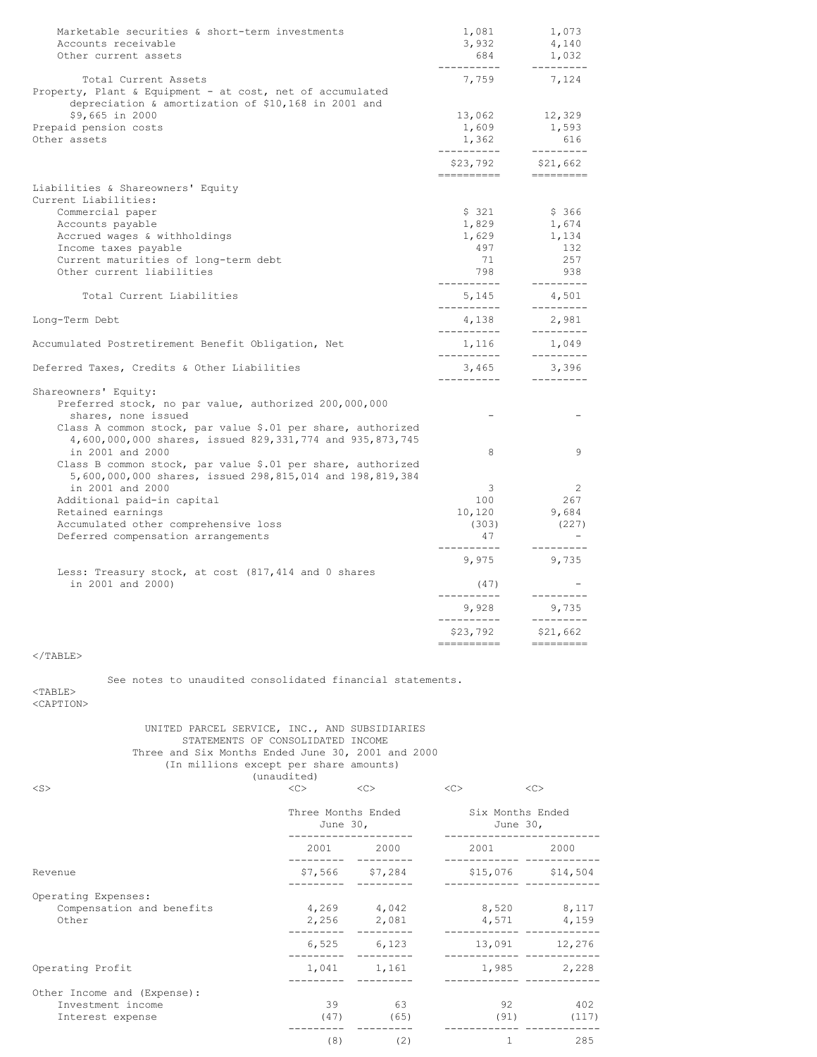| Marketable securities & short-term investments<br>Accounts receivable<br>Other current assets | 1,081<br>3,932<br>684   | 1,073<br>4,140<br>1,032 |
|-----------------------------------------------------------------------------------------------|-------------------------|-------------------------|
| Total Current Assets<br>Property, Plant & Equipment - at cost, net of accumulated             | ------<br>7,759         | $- - - - -$<br>7,124    |
| depreciation & amortization of \$10,168 in 2001 and                                           |                         |                         |
| \$9,665 in 2000<br>Prepaid pension costs                                                      | 13,062<br>1,609         | 12,329<br>1,593         |
| Other assets                                                                                  | 1,362                   | 616                     |
|                                                                                               | ----------              | ---------               |
|                                                                                               | \$23,792                | \$21,662                |
| Liabilities & Shareowners' Equity                                                             | ---------               |                         |
| Current Liabilities:                                                                          |                         |                         |
| Commercial paper                                                                              | \$ 321                  | \$ 366                  |
| Accounts payable                                                                              | 1,829                   | 1,674                   |
| Accrued wages & withholdings                                                                  | 1,629                   | 1,134                   |
| Income taxes payable                                                                          | 497                     | 132                     |
| Current maturities of long-term debt                                                          | 71                      | 257                     |
| Other current liabilities                                                                     | 798<br>-----------      | 938<br>---------        |
| Total Current Liabilities                                                                     | 5,145<br>----------     | 4,501<br>---------      |
| Long-Term Debt                                                                                | 4,138<br>----------     | 2,981<br>---------      |
| Accumulated Postretirement Benefit Obligation, Net                                            | 1,116                   | 1,049                   |
| Deferred Taxes, Credits & Other Liabilities                                                   | ----------<br>3,465     | ---------<br>3,396      |
|                                                                                               | -----------             | ----------              |
| Shareowners' Equity:                                                                          |                         |                         |
| Preferred stock, no par value, authorized 200,000,000<br>shares, none issued                  |                         |                         |
| Class A common stock, par value \$.01 per share, authorized                                   |                         |                         |
| 4,600,000,000 shares, issued 829,331,774 and 935,873,745                                      |                         |                         |
| in 2001 and 2000                                                                              | 8                       | 9                       |
| Class B common stock, par value \$.01 per share, authorized                                   |                         |                         |
| 5,600,000,000 shares, issued 298,815,014 and 198,819,384                                      |                         |                         |
| in 2001 and 2000                                                                              | 3                       | 2                       |
| Additional paid-in capital                                                                    | 100                     | 267                     |
| Retained earnings                                                                             | 10,120                  | 9,684                   |
| Accumulated other comprehensive loss                                                          | (303)                   | (227)                   |
| Deferred compensation arrangements                                                            | 47                      |                         |
|                                                                                               | ----<br>9,975           | 9,735                   |
| Less: Treasury stock, at cost (817,414 and 0 shares                                           |                         |                         |
| in 2001 and 2000)                                                                             | (47)<br>------          |                         |
|                                                                                               | 9,928                   | 9,735                   |
|                                                                                               | -----------<br>\$23,792 | $--- - - -$<br>\$21,662 |
|                                                                                               |                         |                         |
| $\langle$ /TABLE>                                                                             |                         |                         |
| See notes to unaudited consolidated financial statements.                                     |                         |                         |
| $TABLE>$                                                                                      |                         |                         |
| <caption></caption>                                                                           |                         |                         |
|                                                                                               |                         |                         |
| IINITED PARCEL SERVICE. INC. AND SUBSIDIARIES                                                 |                         |                         |

UNITED PARCEL SERVICE, INC., AND SUBSIDIARIES STATEMENTS OF CONSOLIDATED INCOME Three and Six Months Ended June 30, 2001 and 2000 (In millions except per share amounts) (unaudited) <S> <C> <C> <C> <C>

|                                                                      | June 30,   | Three Months Ended         | Six Months Ended<br>June 30,                                                                                                                                                                                                    |                            |
|----------------------------------------------------------------------|------------|----------------------------|---------------------------------------------------------------------------------------------------------------------------------------------------------------------------------------------------------------------------------|----------------------------|
|                                                                      | 2001 2000  |                            | 2001 - 2001 - 2002 - 2003 - 2004 - 2004 - 2004 - 2005 - 2006 - 2012 - 2012 - 2013 - 2014 - 2014 - 2014 - 2014 - 2014 - 2014 - 2014 - 2014 - 2014 - 2014 - 2014 - 2014 - 2014 - 2014 - 2014 - 2014 - 2014 - 2014 - 2014 - 2014 - | 2000                       |
| Revenue                                                              |            | $$7,566$ $$7,284$          | $$15,076$ $$14,504$                                                                                                                                                                                                             |                            |
| Operating Expenses:<br>Compensation and benefits<br>Other            |            | 4,269 4,042<br>2,256 2,081 |                                                                                                                                                                                                                                 | 8,520 8,117<br>4,571 4,159 |
|                                                                      |            | 6,525 6,123                |                                                                                                                                                                                                                                 | 13,091 12,276              |
| Operating Profit                                                     |            | 1,041 1,161                |                                                                                                                                                                                                                                 | 1,985 2,228                |
| Other Income and (Expense):<br>Investment income<br>Interest expense | 39<br>(47) | 63<br>(65)                 | 92.<br>(91)                                                                                                                                                                                                                     | 402<br>(117)               |
|                                                                      | (8)        | (2)                        | 1                                                                                                                                                                                                                               | 285                        |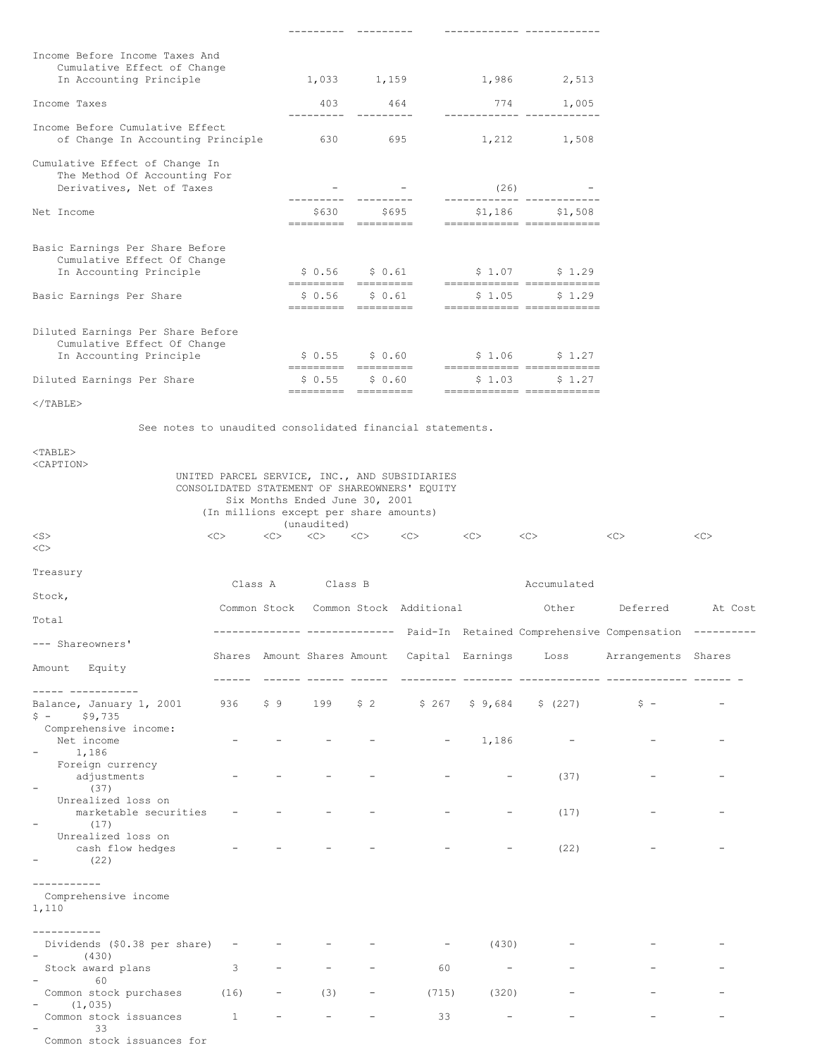|                                                                                             |  |  |        | ----------                     |                      |        | ------------- -------------                                       |  |  |
|---------------------------------------------------------------------------------------------|--|--|--------|--------------------------------|----------------------|--------|-------------------------------------------------------------------|--|--|
| Income Before Income Taxes And                                                              |  |  |        |                                |                      |        |                                                                   |  |  |
| Cumulative Effect of Change<br>In Accounting Principle                                      |  |  |        |                                |                      |        | $1,033$ $1,159$ $1,986$ $2,513$                                   |  |  |
| Income Taxes                                                                                |  |  | 403    |                                | 464                  | 774    | 1,005                                                             |  |  |
| Income Before Cumulative Effect<br>of Change In Accounting Principle                        |  |  | 630    |                                | 695                  |        | ------------- ------------<br>1,212 1,508                         |  |  |
| Cumulative Effect of Change In<br>The Method Of Accounting For<br>Derivatives, Net of Taxes |  |  |        |                                |                      | (26)   |                                                                   |  |  |
| Net Income                                                                                  |  |  | \$630  | --------- ---------            | \$695                |        | ------------- ------------<br>$$1,186$ $$1,508$                   |  |  |
|                                                                                             |  |  |        | ---------- --------            |                      |        | =========================                                         |  |  |
| Basic Earnings Per Share Before<br>Cumulative Effect Of Change<br>In Accounting Principle   |  |  |        | \$ 0.56 \$ 0.61                |                      |        | $$1.07$ $$1.29$                                                   |  |  |
| Basic Earnings Per Share                                                                    |  |  | \$0.56 | ---------- ---------<br>\$0.61 | ---------- --------- | \$1.05 | ------------- ------------<br>\$1.29<br>============ ============ |  |  |
| Diluted Earnings Per Share Before                                                           |  |  |        |                                |                      |        |                                                                   |  |  |
| Cumulative Effect Of Change<br>In Accounting Principle                                      |  |  |        |                                |                      |        | $$0.55$ $$0.60$ $$1.06$ $$1.27$<br>------------ -----------       |  |  |
| Diluted Earnings Per Share                                                                  |  |  | \$0.55 | \$0.60<br>==================== |                      | \$1.03 | \$1.27<br>------------- ------------                              |  |  |
|                                                                                             |  |  |        |                                |                      |        |                                                                   |  |  |

  |  |  |  |  |  |  |  |  || See notes to unaudited consolidated financial statements. |  |  |  |  |  |  |  |  |  |
|  |  |  |  |  |  |  |  |  |  |
|  |  | Six Months Ended June 30, 2001 |  |  | UNITED PARCEL SERVICE, INC., AND SUBSIDIARIESCONSOLIDATED STATEMENT OF SHAREOWNERS' EQUITY |  |  |  |  |
|  | (In millions except per share amounts) |  | (unaudited) |  |  |  |  |  |  |
|  | $<<$   $>$ |  |  |  | $\langle C \rangle$   $\langle C \rangle$   $\langle C \rangle$   $\langle C \rangle$   $\langle C \rangle$ |  | $<<$   $>$ | < | << |
| Treasury |  |  |  |  |  |  |  |  |  |
| Stock, |  | Class A Class B |  |  |  |  | Accumulated |  |  |
| Total |  |  |  |  | Common Stock Common Stock Additional |  | Other | Deferred | At Cost |
| --- Shareowners' |  |  |  |  |  |  | ------------- ------------- Paid-In Retained Comprehensive Compensation --------- |  |  |
| Amount Equity |  |  |  |  |  |  | Shares Amount Shares Amount Capital Earnings Loss Arrangements Shares |  |  |
| \_\_\_\_\_\_ \_\_\_\_\_\_\_\_\_\_\_\_Balance, January 1, 2001 936 \$9 199 \$2 \$267 \$9,684 \$ (227) \$ - $$ - $9,735$ |  |  |  |  |  |  |  |  |  |
| Comprehensive income:Net income1,186 $\sim$ |  |  |  |  |  | $-1,186$ | $\sim$   $-$ |  |  |
| Foreign currencyadjustments $\sim$ (37) |  | $\overline{a}$ |  |  | $\sim$  100  $\mu$ | $\sim$   $-$ | (37) |  |  |
| Unrealized loss onmarketable securities - $\overline{\phantom{a}}$ (17) |  |  |  |  |  | $\overline{\phantom{a}}$ | (17) |  |  |
| Unrealized loss oncash flow hedgesΞ.(22) |  | and the contract of the con- | and the contract of the con- |  |  | $\sim$ | (22) |  |  |
| -----------Comprehensive income1,110 |  |  |  |  |  |  |  |  |  |
| -----------Dividends (\$0.38 per share) - - $-$  (430) |  |  | $\sim$  100  $\mu$ |  |  | $-$  (430) |  |  |  |
| Stock award plans $-$  60 | $3 - 3$ |  | $\sim$ | $\sim$   $\sim$ | 60 | $\sim 100$  m  $^{-1}$ |  |  |  |
| Common stock purchases (16) - |  |  | (3) | $\sim$ |  | $(715)$  (320) |  |  |  |
| $-$  (1,035)Common stock issuances 1 - - - - $-$  33 |  |  |  |  | 33 | **Contract Contract** | $\sim$   $-$ |  |  |
| Common stock issuances for |  |  |  |  |  |  |  |  |  |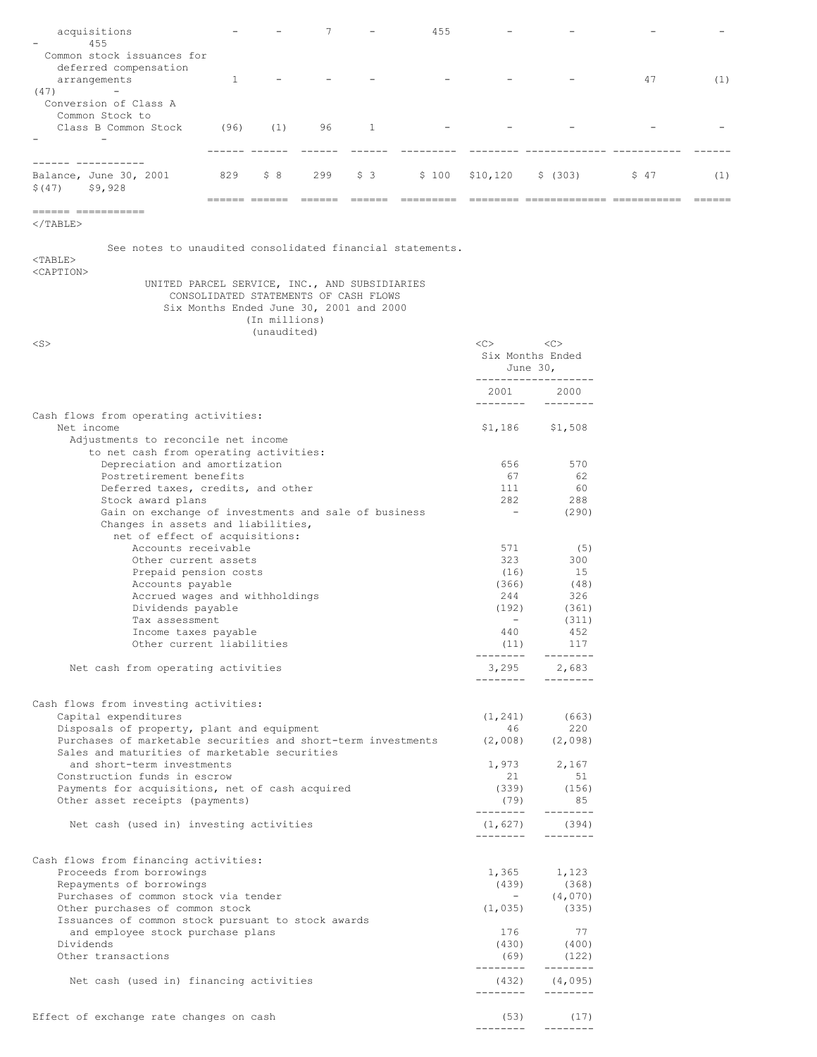| acquisitions                                                                                                |               |               | 7   |                                         | 455       |                          |                           |      |     |
|-------------------------------------------------------------------------------------------------------------|---------------|---------------|-----|-----------------------------------------|-----------|--------------------------|---------------------------|------|-----|
| 455<br>Common stock issuances for                                                                           |               |               |     |                                         |           |                          |                           |      |     |
| deferred compensation                                                                                       |               |               |     |                                         |           |                          |                           |      |     |
| arrangements                                                                                                | 1             |               |     |                                         |           |                          |                           | 47   | (1) |
| (47)<br>Conversion of Class A                                                                               |               |               |     |                                         |           |                          |                           |      |     |
| Common Stock to                                                                                             |               |               |     |                                         |           |                          |                           |      |     |
| Class B Common Stock                                                                                        | (96)          | (1)           | 96  | $\mathbf{1}$                            |           |                          |                           |      |     |
|                                                                                                             |               |               |     |                                         |           |                          |                           |      |     |
| ------- -----------                                                                                         |               |               |     |                                         |           |                          |                           |      |     |
| Balance, June 30, 2001                                                                                      | 829           | \$8           | 299 | \$3                                     | \$100     | \$10, 120                | \$ (303)                  | \$47 | (1) |
| \$ (47)<br>\$9,928                                                                                          |               |               |     |                                         |           |                          |                           |      |     |
|                                                                                                             | seesse essees |               |     |                                         | ========= |                          |                           |      |     |
| $\langle$ /TABLE>                                                                                           |               |               |     |                                         |           |                          |                           |      |     |
| See notes to unaudited consolidated financial statements.                                                   |               |               |     |                                         |           |                          |                           |      |     |
| $<$ TABLE>                                                                                                  |               |               |     |                                         |           |                          |                           |      |     |
| <caption></caption>                                                                                         |               |               |     |                                         |           |                          |                           |      |     |
| UNITED PARCEL SERVICE, INC., AND SUBSIDIARIES                                                               |               |               |     | CONSOLIDATED STATEMENTS OF CASH FLOWS   |           |                          |                           |      |     |
|                                                                                                             |               |               |     | Six Months Ended June 30, 2001 and 2000 |           |                          |                           |      |     |
|                                                                                                             |               | (In millions) |     |                                         |           |                          |                           |      |     |
|                                                                                                             |               | (unaudited)   |     |                                         |           |                          |                           |      |     |
| $<$ S $>$                                                                                                   |               |               |     |                                         |           | <<                       | <<<br>Six Months Ended    |      |     |
|                                                                                                             |               |               |     |                                         |           |                          | June 30,                  |      |     |
|                                                                                                             |               |               |     |                                         |           | --------------           |                           |      |     |
|                                                                                                             |               |               |     |                                         |           | 2001<br>--------         | 2000<br>$- - - - - - - -$ |      |     |
| Cash flows from operating activities:                                                                       |               |               |     |                                         |           |                          |                           |      |     |
| Net income                                                                                                  |               |               |     |                                         |           | \$1,186                  | \$1,508                   |      |     |
| Adjustments to reconcile net income<br>to net cash from operating activities:                               |               |               |     |                                         |           |                          |                           |      |     |
| Depreciation and amortization                                                                               |               |               |     |                                         |           | 656                      | 570                       |      |     |
| Postretirement benefits                                                                                     |               |               |     |                                         |           | 67                       | 62                        |      |     |
| Deferred taxes, credits, and other<br>Stock award plans                                                     |               |               |     |                                         |           | 111<br>282               | 60<br>288                 |      |     |
| Gain on exchange of investments and sale of business                                                        |               |               |     |                                         |           | $\overline{\phantom{a}}$ | (290)                     |      |     |
| Changes in assets and liabilities,                                                                          |               |               |     |                                         |           |                          |                           |      |     |
| net of effect of acquisitions:<br>Accounts receivable                                                       |               |               |     |                                         |           | 571                      | (5)                       |      |     |
| Other current assets                                                                                        |               |               |     |                                         |           | 323                      | 300                       |      |     |
| Prepaid pension costs                                                                                       |               |               |     |                                         |           | (16)                     | 15                        |      |     |
| Accounts payable<br>Accrued wages and withholdings                                                          |               |               |     |                                         |           | (366)<br>244             | (48)<br>326               |      |     |
| Dividends payable                                                                                           |               |               |     |                                         |           | (192)                    | (361)                     |      |     |
| Tax assessment                                                                                              |               |               |     |                                         |           | $\overline{\phantom{a}}$ | (311)                     |      |     |
| Income taxes payable<br>Other current liabilities                                                           |               |               |     |                                         |           | 440<br>(11)              | 452<br>117                |      |     |
|                                                                                                             |               |               |     |                                         |           | --------                 | --------                  |      |     |
| Net cash from operating activities                                                                          |               |               |     |                                         |           | 3,295                    | 2,683                     |      |     |
|                                                                                                             |               |               |     |                                         |           | --------                 | --------                  |      |     |
| Cash flows from investing activities:                                                                       |               |               |     |                                         |           |                          |                           |      |     |
| Capital expenditures                                                                                        |               |               |     |                                         |           | (1, 241)                 | (663)                     |      |     |
| Disposals of property, plant and equipment<br>Purchases of marketable securities and short-term investments |               |               |     |                                         |           | 46<br>(2,008)            | 220<br>(2,098)            |      |     |
| Sales and maturities of marketable securities                                                               |               |               |     |                                         |           |                          |                           |      |     |
| and short-term investments                                                                                  |               |               |     |                                         |           | 1,973                    | 2,167                     |      |     |
| Construction funds in escrow<br>Payments for acquisitions, net of cash acquired                             |               |               |     |                                         |           | 21<br>(339)              | 51<br>(156)               |      |     |
| Other asset receipts (payments)                                                                             |               |               |     |                                         |           | (79)                     | 85                        |      |     |
|                                                                                                             |               |               |     |                                         |           | --------                 | --------                  |      |     |
| Net cash (used in) investing activities                                                                     |               |               |     |                                         |           | (1, 627)<br>--------     | (394)<br>--------         |      |     |
|                                                                                                             |               |               |     |                                         |           |                          |                           |      |     |
| Cash flows from financing activities:                                                                       |               |               |     |                                         |           |                          |                           |      |     |
| Proceeds from borrowings<br>Repayments of borrowings                                                        |               |               |     |                                         |           | 1,365<br>(439)           | 1,123                     |      |     |
| Purchases of common stock via tender                                                                        |               |               |     |                                         |           | $\sim$                   | (368)<br>(4,070)          |      |     |
| Other purchases of common stock                                                                             |               |               |     |                                         |           | (1, 035)                 | (335)                     |      |     |
| Issuances of common stock pursuant to stock awards                                                          |               |               |     |                                         |           | 176                      | 77                        |      |     |
| and employee stock purchase plans<br>Dividends                                                              |               |               |     |                                         |           | (430)                    | (400)                     |      |     |
| Other transactions                                                                                          |               |               |     |                                         |           | (69)                     | (122)                     |      |     |
|                                                                                                             |               |               |     |                                         |           | --------                 | --------                  |      |     |
| Net cash (used in) financing activities                                                                     |               |               |     |                                         |           | (432)<br>-------         | (4, 095)<br>--------      |      |     |
|                                                                                                             |               |               |     |                                         |           |                          |                           |      |     |
| Effect of exchange rate changes on cash                                                                     |               |               |     |                                         |           | (53)                     | (17)                      |      |     |
|                                                                                                             |               |               |     |                                         |           | --------                 | --------                  |      |     |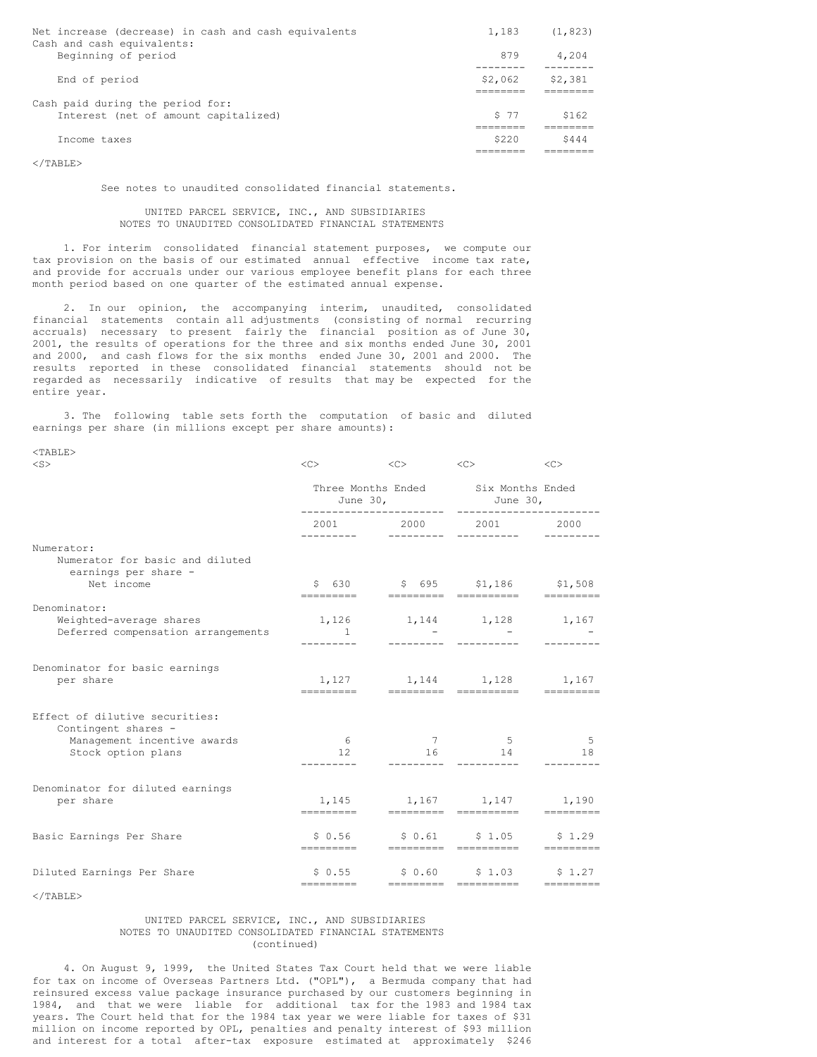| Net increase (decrease) in cash and cash equivalents<br>Cash and cash equivalents: | 1,183   | (1, 823) |
|------------------------------------------------------------------------------------|---------|----------|
| Beginning of period                                                                | 879     | 4,204    |
| End of period                                                                      | \$2,062 | \$2,381  |
| Cash paid during the period for:                                                   |         |          |
| Interest (net of amount capitalized)                                               | S 77    | \$162    |
| Income taxes                                                                       | \$220   | \$444    |

 $\langle$ /TABLE>

See notes to unaudited consolidated financial statements.

# UNITED PARCEL SERVICE, INC., AND SUBSIDIARIES NOTES TO UNAUDITED CONSOLIDATED FINANCIAL STATEMENTS

1. For interim consolidated financial statement purposes, we compute our tax provision on the basis of our estimated annual effective income tax rate, and provide for accruals under our various employee benefit plans for each three month period based on one quarter of the estimated annual expense.

2. In our opinion, the accompanying interim, unaudited, consolidated financial statements contain all adjustments (consisting of normal recurring accruals) necessary to present fairly the financial position as of June 30, 2001, the results of operations for the three and six months ended June 30, 2001 and 2000, and cash flows for the six months ended June 30, 2001 and 2000. The results reported in these consolidated financial statements should not be regarded as necessarily indicative of results that may be expected for the entire year.

3. The following table sets forth the computation of basic and diluted earnings per share (in millions except per share amounts):

| $<$ TABLE>                                                                                                 |                                                          |                                   |                                                             |                   |
|------------------------------------------------------------------------------------------------------------|----------------------------------------------------------|-----------------------------------|-------------------------------------------------------------|-------------------|
| $<$ S $>$                                                                                                  | $\langle C \rangle$                                      |                                   | $\langle C \rangle$ $\langle C \rangle$ $\langle C \rangle$ |                   |
|                                                                                                            | Three Months Ended Six Months Ended<br>June 30, June 30, |                                   |                                                             |                   |
|                                                                                                            |                                                          | 2001 2000 2001 2000<br>---------- |                                                             |                   |
| Numerator:<br>Numerator for basic and diluted<br>earnings per share -<br>Net income                        |                                                          | \$ 630 \$ 695 \$1,186 \$1,508     |                                                             |                   |
| Denominator:<br>Weighted-average shares<br>Deferred compensation arrangements                              | $\sim$ $\sim$ $\sim$ $\sim$ $\sim$ $\sim$                | 1,126 1,144 1,128 1,167           |                                                             |                   |
| Denominator for basic earnings<br>per share                                                                |                                                          | 1,127 1,144 1,128 1,167           |                                                             |                   |
| Effect of dilutive securities:<br>Contingent shares -<br>Management incentive awards<br>Stock option plans | 6<br>12                                                  | 16                                | 7 5<br>14                                                   | $5^{\circ}$<br>18 |
| Denominator for diluted earnings<br>per share                                                              | =========                                                | $1,145$ $1,167$ $1,147$ $1,190$   |                                                             |                   |
| Basic Earnings Per Share                                                                                   | \$ 0.56<br>=========                                     |                                   | $$0.61$ $$1.05$ $$1.29$<br>----------------------           | EEEEEEEE          |
| Diluted Earnings Per Share                                                                                 | \$0.55<br>----------                                     |                                   | $$0.60$ $$1.03$ $$1.27$<br>=========        ===========     | eeeeeeee          |

 $\langle$ /TABLE>

## UNITED PARCEL SERVICE, INC., AND SUBSIDIARIES NOTES TO UNAUDITED CONSOLIDATED FINANCIAL STATEMENTS (continued)

4. On August 9, 1999, the United States Tax Court held that we were liable for tax on income of Overseas Partners Ltd. ("OPL"), a Bermuda company that had reinsured excess value package insurance purchased by our customers beginning in 1984, and that we were liable for additional tax for the 1983 and 1984 tax years. The Court held that for the 1984 tax year we were liable for taxes of \$31 million on income reported by OPL, penalties and penalty interest of \$93 million and interest for a total after-tax exposure estimated at approximately \$246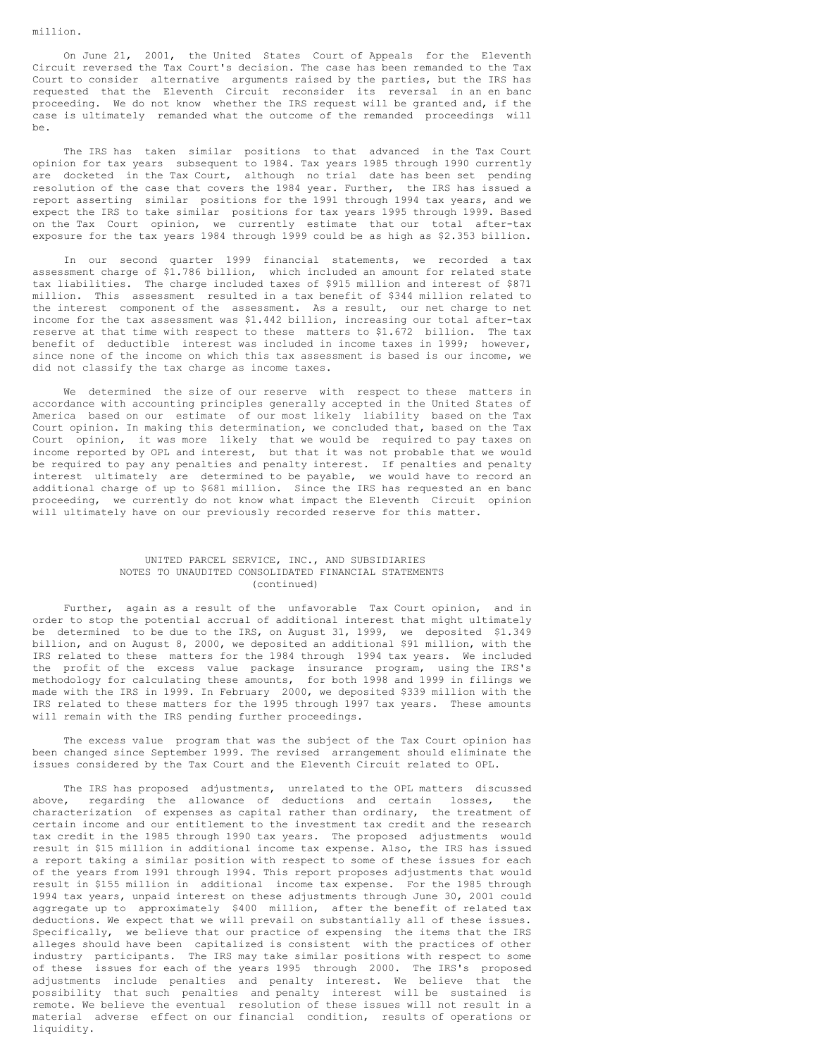On June 21, 2001, the United States Court of Appeals for the Eleventh Circuit reversed the Tax Court's decision. The case has been remanded to the Tax Court to consider alternative arguments raised by the parties, but the IRS has requested that the Eleventh Circuit reconsider its reversal in an en banc proceeding. We do not know whether the IRS request will be granted and, if the case is ultimately remanded what the outcome of the remanded proceedings will be.

The IRS has taken similar positions to that advanced in the Tax Court opinion for tax years subsequent to 1984. Tax years 1985 through 1990 currently are docketed in the Tax Court, although no trial date has been set pending resolution of the case that covers the 1984 year. Further, the IRS has issued a report asserting similar positions for the 1991 through 1994 tax years, and we expect the IRS to take similar positions for tax years 1995 through 1999. Based on the Tax Court opinion, we currently estimate that our total after-tax exposure for the tax years 1984 through 1999 could be as high as \$2.353 billion.

In our second quarter 1999 financial statements, we recorded a tax assessment charge of \$1.786 billion, which included an amount for related state tax liabilities. The charge included taxes of \$915 million and interest of \$871 million. This assessment resulted in a tax benefit of \$344 million related to the interest component of the assessment. As a result, our net charge to net income for the tax assessment was \$1.442 billion, increasing our total after-tax reserve at that time with respect to these matters to \$1.672 billion. The tax benefit of deductible interest was included in income taxes in 1999; however, since none of the income on which this tax assessment is based is our income, we did not classify the tax charge as income taxes.

We determined the size of our reserve with respect to these matters in accordance with accounting principles generally accepted in the United States of America based on our estimate of our most likely liability based on the Tax Court opinion. In making this determination, we concluded that, based on the Tax Court opinion, it was more likely that we would be required to pay taxes on income reported by OPL and interest, but that it was not probable that we would be required to pay any penalties and penalty interest. If penalties and penalty interest ultimately are determined to be payable, we would have to record an additional charge of up to \$681 million. Since the IRS has requested an en banc proceeding, we currently do not know what impact the Eleventh Circuit opinion will ultimately have on our previously recorded reserve for this matter.

## UNITED PARCEL SERVICE, INC., AND SUBSIDIARIES NOTES TO UNAUDITED CONSOLIDATED FINANCIAL STATEMENTS (continued)

Further, again as a result of the unfavorable Tax Court opinion, and in order to stop the potential accrual of additional interest that might ultimately be determined to be due to the IRS, on August 31, 1999, we deposited \$1.349 billion, and on August 8, 2000, we deposited an additional \$91 million, with the IRS related to these matters for the 1984 through 1994 tax years. We included the profit of the excess value package insurance program, using the IRS's methodology for calculating these amounts, for both 1998 and 1999 in filings we made with the IRS in 1999. In February 2000, we deposited \$339 million with the IRS related to these matters for the 1995 through 1997 tax years. These amounts will remain with the IRS pending further proceedings.

The excess value program that was the subject of the Tax Court opinion has been changed since September 1999. The revised arrangement should eliminate the issues considered by the Tax Court and the Eleventh Circuit related to OPL.

The IRS has proposed adjustments, unrelated to the OPL matters discussed above, regarding the allowance of deductions and certain losses, the characterization of expenses as capital rather than ordinary, the treatment of certain income and our entitlement to the investment tax credit and the research tax credit in the 1985 through 1990 tax years. The proposed adjustments would result in \$15 million in additional income tax expense. Also, the IRS has issued a report taking a similar position with respect to some of these issues for each of the years from 1991 through 1994. This report proposes adjustments that would result in \$155 million in additional income tax expense. For the 1985 through 1994 tax years, unpaid interest on these adjustments through June 30, 2001 could aggregate up to approximately \$400 million, after the benefit of related tax deductions. We expect that we will prevail on substantially all of these issues. Specifically, we believe that our practice of expensing the items that the IRS alleges should have been capitalized is consistent with the practices of other industry participants. The IRS may take similar positions with respect to some of these issues for each of the years 1995 through 2000. The IRS's proposed adjustments include penalties and penalty interest. We believe that the possibility that such penalties and penalty interest will be sustained is remote. We believe the eventual resolution of these issues will not result in a material adverse effect on our financial condition, results of operations or liquidity.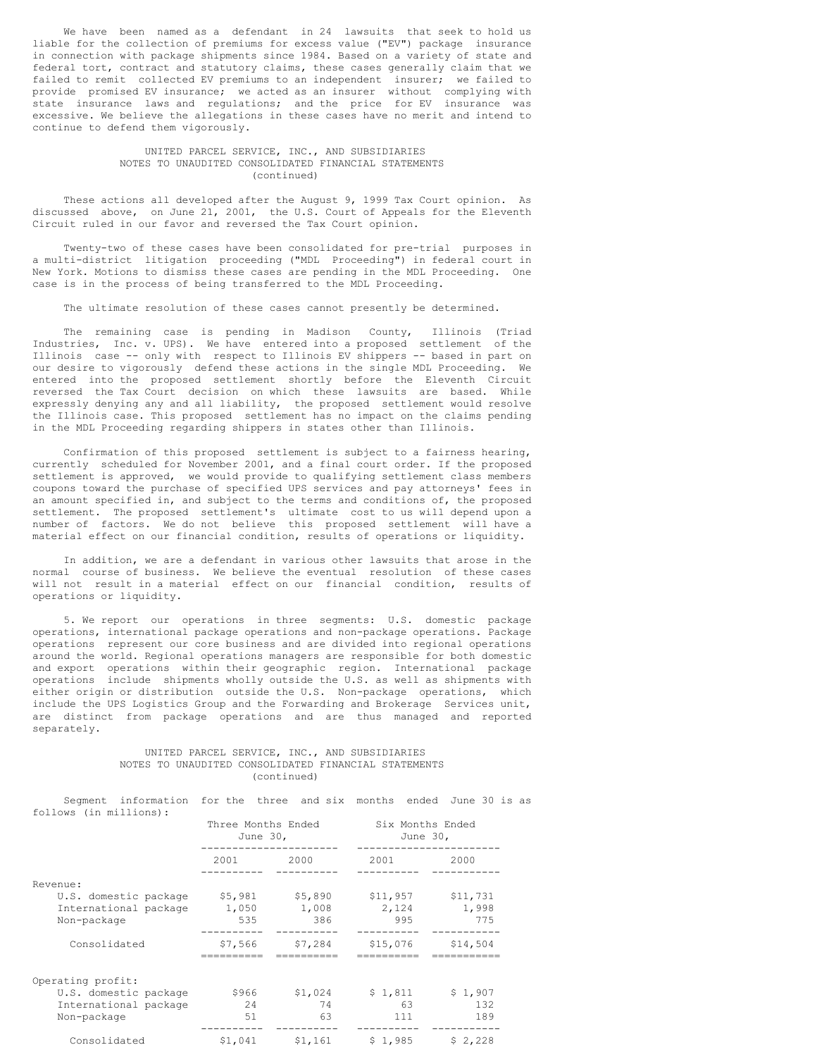We have been named as a defendant in 24 lawsuits that seek to hold us liable for the collection of premiums for excess value ("EV") package insurance in connection with package shipments since 1984. Based on a variety of state and federal tort, contract and statutory claims, these cases generally claim that we failed to remit collected EV premiums to an independent insurer; we failed to provide promised EV insurance; we acted as an insurer without complying with state insurance laws and regulations; and the price for EV insurance was excessive. We believe the allegations in these cases have no merit and intend to continue to defend them vigorously.

#### UNITED PARCEL SERVICE, INC., AND SUBSIDIARIES NOTES TO UNAUDITED CONSOLIDATED FINANCIAL STATEMENTS (continued)

These actions all developed after the August 9, 1999 Tax Court opinion. As discussed above, on June 21, 2001, the U.S. Court of Appeals for the Eleventh Circuit ruled in our favor and reversed the Tax Court opinion.

Twenty-two of these cases have been consolidated for pre-trial purposes in a multi-district litigation proceeding ("MDL Proceeding") in federal court in New York. Motions to dismiss these cases are pending in the MDL Proceeding. One case is in the process of being transferred to the MDL Proceeding.

The ultimate resolution of these cases cannot presently be determined.

The remaining case is pending in Madison County, Illinois (Triad Industries, Inc. v. UPS). We have entered into a proposed settlement of the Illinois case -- only with respect to Illinois EV shippers -- based in part on our desire to vigorously defend these actions in the single MDL Proceeding. We entered into the proposed settlement shortly before the Eleventh Circuit reversed the Tax Court decision on which these lawsuits are based. While expressly denying any and all liability, the proposed settlement would resolve the Illinois case. This proposed settlement has no impact on the claims pending in the MDL Proceeding regarding shippers in states other than Illinois.

Confirmation of this proposed settlement is subject to a fairness hearing, currently scheduled for November 2001, and a final court order. If the proposed settlement is approved, we would provide to qualifying settlement class members coupons toward the purchase of specified UPS services and pay attorneys' fees in an amount specified in, and subject to the terms and conditions of, the proposed settlement. The proposed settlement's ultimate cost to us will depend upon a number of factors. We do not believe this proposed settlement will have a material effect on our financial condition, results of operations or liquidity.

In addition, we are a defendant in various other lawsuits that arose in the normal course of business. We believe the eventual resolution of these cases will not result in a material effect on our financial condition, results of operations or liquidity.

5. We report our operations in three segments: U.S. domestic package operations, international package operations and non-package operations. Package operations represent our core business and are divided into regional operations around the world. Regional operations managers are responsible for both domestic and export operations within their geographic region. International package operations include shipments wholly outside the U.S. as well as shipments with either origin or distribution outside the U.S. Non-package operations, which include the UPS Logistics Group and the Forwarding and Brokerage Services unit, are distinct from package operations and are thus managed and reported separately.

# UNITED PARCEL SERVICE, INC., AND SUBSIDIARIES NOTES TO UNAUDITED CONSOLIDATED FINANCIAL STATEMENTS (continued)

Segment information for the three and six months ended June 30 is as follows (in millions):

|                       | Three Months Ended<br>June 30, |         | Six Months Ended<br>June 30, |          |  |
|-----------------------|--------------------------------|---------|------------------------------|----------|--|
|                       | 2001                           | 2000    | 2001                         | 2000     |  |
| Revenue:              |                                |         |                              |          |  |
| U.S. domestic package | \$5,981                        | \$5,890 | \$11,957                     | \$11,731 |  |
| International package | 1,050                          | 1,008   | 2,124                        | 1,998    |  |
| Non-package           | 535                            | 386     | 995                          | 775      |  |
| Consolidated          | \$7,566                        | \$7,284 | \$15,076                     | \$14,504 |  |
| Operating profit:     |                                |         |                              |          |  |
| U.S. domestic package | \$966                          | \$1,024 | \$1,811                      | \$1,907  |  |
| International package | 24                             | 74      | 63                           | 132      |  |
| Non-package           | 51                             | 63      | 111                          | 189      |  |
| Consolidated          | \$1.041                        | \$1,161 | \$1,985                      | \$2,228  |  |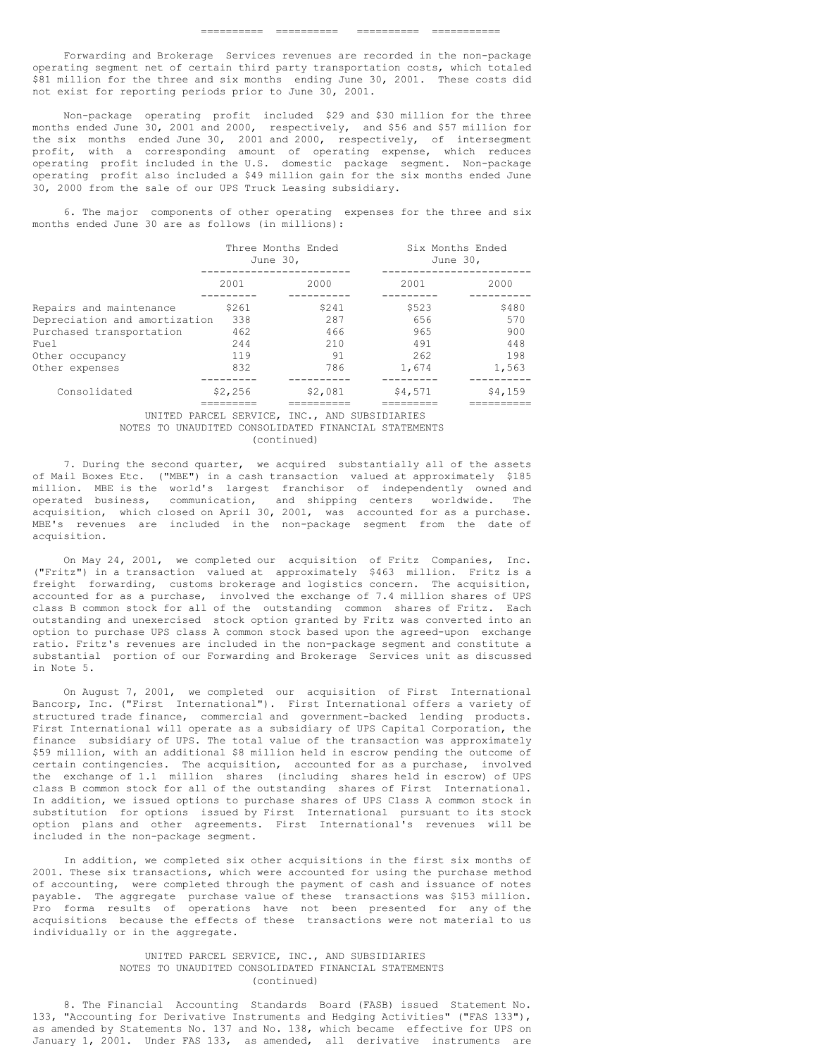Forwarding and Brokerage Services revenues are recorded in the non-package operating segment net of certain third party transportation costs, which totaled \$81 million for the three and six months ending June 30, 2001. These costs did not exist for reporting periods prior to June 30, 2001.

Non-package operating profit included \$29 and \$30 million for the three months ended June 30, 2001 and 2000, respectively, and \$56 and \$57 million for the six months ended June 30, 2001 and 2000, respectively, of intersegment profit, with a corresponding amount of operating expense, which reduces operating profit included in the U.S. domestic package segment. Non-package operating profit also included a \$49 million gain for the six months ended June 30, 2000 from the sale of our UPS Truck Leasing subsidiary.

6. The major components of other operating expenses for the three and six months ended June 30 are as follows (in millions):

|                               |         | Three Months Ended<br>June 30, | Six Months Ended<br>June 30, |         |  |
|-------------------------------|---------|--------------------------------|------------------------------|---------|--|
|                               | 2001    | 2000                           | 2001                         | 2000    |  |
| Repairs and maintenance       | \$261   | \$241                          | \$523                        | \$480   |  |
| Depreciation and amortization | 338     | 287                            | 656                          | 570     |  |
| Purchased transportation      | 462     | 466                            | 965                          | 900     |  |
| Fuel                          | 244     | 210                            | 491                          | 448     |  |
| Other occupancy               | 119     | 91                             | 262                          | 198     |  |
| Other expenses                | 832     | 786                            | 1,674                        | 1,563   |  |
|                               |         |                                |                              |         |  |
| Consolidated                  | \$2,256 | \$2,081                        | \$4,571                      | \$4,159 |  |
|                               |         |                                |                              |         |  |

UNITED PARCEL SERVICE, INC., AND SUBSIDIARIES NOTES TO UNAUDITED CONSOLIDATED FINANCIAL STATEMENTS (continued)

7. During the second quarter, we acquired substantially all of the assets of Mail Boxes Etc. ("MBE") in a cash transaction valued at approximately \$185 million. MBE is the world's largest franchisor of independently owned and operated business, communication, and shipping centers worldwide. The acquisition, which closed on April 30, 2001, was accounted for as a purchase. MBE's revenues are included in the non-package segment from the date of acquisition.

On May 24, 2001, we completed our acquisition of Fritz Companies, Inc. ("Fritz") in a transaction valued at approximately \$463 million. Fritz is a freight forwarding, customs brokerage and logistics concern. The acquisition, accounted for as a purchase, involved the exchange of 7.4 million shares of UPS class B common stock for all of the outstanding common shares of Fritz. Each outstanding and unexercised stock option granted by Fritz was converted into an option to purchase UPS class A common stock based upon the agreed-upon exchange ratio. Fritz's revenues are included in the non-package segment and constitute a substantial portion of our Forwarding and Brokerage Services unit as discussed in Note 5.

On August 7, 2001, we completed our acquisition of First International Bancorp, Inc. ("First International"). First International offers a variety of structured trade finance, commercial and government-backed lending products. First International will operate as a subsidiary of UPS Capital Corporation, the finance subsidiary of UPS. The total value of the transaction was approximately \$59 million, with an additional \$8 million held in escrow pending the outcome of certain contingencies. The acquisition, accounted for as a purchase, involved the exchange of 1.1 million shares (including shares held in escrow) of UPS class B common stock for all of the outstanding shares of First International. In addition, we issued options to purchase shares of UPS Class A common stock in substitution for options issued by First International pursuant to its stock option plans and other agreements. First International's revenues will be included in the non-package segment.

In addition, we completed six other acquisitions in the first six months of 2001. These six transactions, which were accounted for using the purchase method of accounting, were completed through the payment of cash and issuance of notes payable. The aggregate purchase value of these transactions was \$153 million. Pro forma results of operations have not been presented for any of the acquisitions because the effects of these transactions were not material to us individually or in the aggregate.

## UNITED PARCEL SERVICE, INC., AND SUBSIDIARIES NOTES TO UNAUDITED CONSOLIDATED FINANCIAL STATEMENTS (continued)

8. The Financial Accounting Standards Board (FASB) issued Statement No. 133, "Accounting for Derivative Instruments and Hedging Activities" ("FAS 133"), as amended by Statements No. 137 and No. 138, which became effective for UPS on January 1, 2001. Under FAS 133, as amended, all derivative instruments are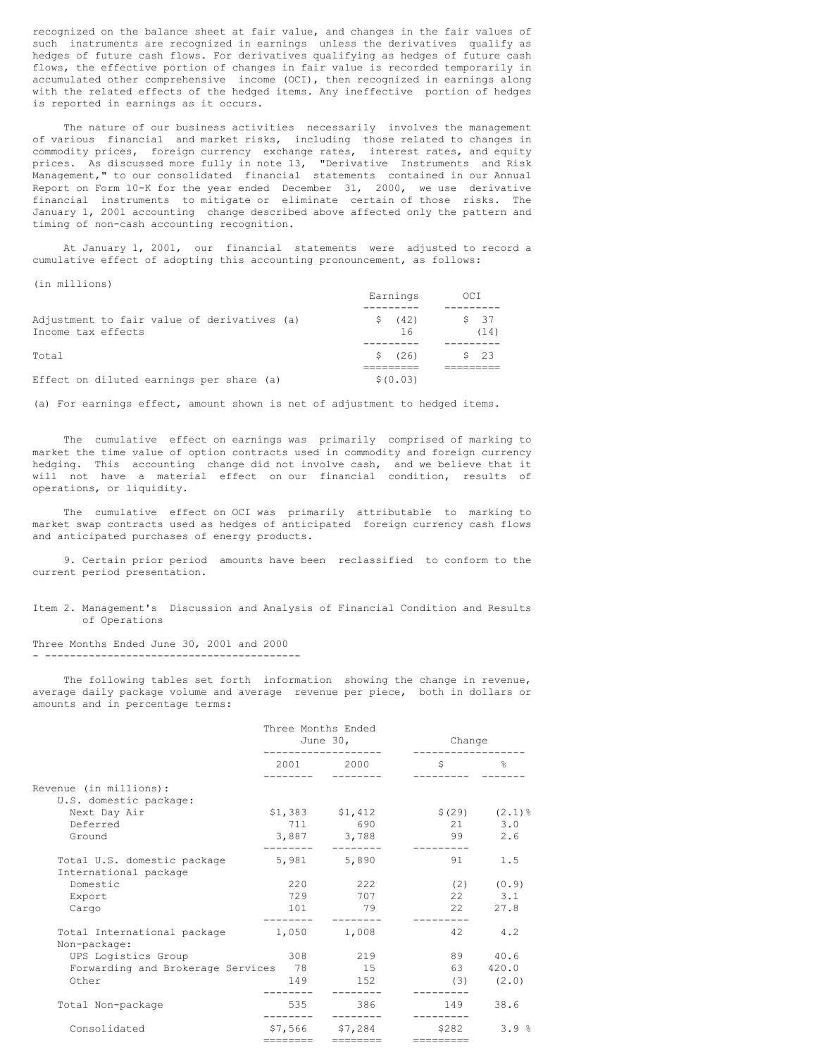recognized on the balance sheet at fair value, and changes in the fair values of such instruments are recognized in earnings unless the derivatives qualify as hedges of future cash flows. For derivatives qualifying as hedges of future cash flows, the effective portion of changes in fair value is recorded temporarily in accumulated other comprehensive income (OCI), then recognized in earnings along with the related effects of the hedged items. Any ineffective portion of hedges is reported in earnings as it occurs.

The nature of our business activities necessarily involves the management of various financial and market risks, including those related to changes in commodity prices, foreign currency exchange rates, interest rates, and equity prices. As discussed more fully in note 13, "Derivative Instruments and Risk Management," to our consolidated financial statements contained in our Annual Report on Form 10-K for the year ended December 31, 2000, we use derivative financial instruments to mitigate or eliminate certain of those risks. The January 1, 2001 accounting change described above affected only the pattern and timing of non-cash accounting recognition.

At January 1, 2001, our financial statements were adjusted to record a cumulative effect of adopting this accounting pronouncement, as follows:

|  | n milions |  |
|--|-----------|--|
|--|-----------|--|

|                                                                   | Earnings      | OCI          |
|-------------------------------------------------------------------|---------------|--------------|
| Adjustment to fair value of derivatives (a)<br>Income tax effects | \$ (42)<br>16 | \$37<br>(14) |
| Total                                                             | \$(26)        | \$23         |
| Effect on diluted earnings per share (a)                          | \$(0.03)      |              |

(a) For earnings effect, amount shown is net of adjustment to hedged items.

The cumulative effect on earnings was primarily comprised of marking to market the time value of option contracts used in commodity and foreign currency hedging. This accounting change did not involve cash, and we believe that it will not have a material effect on our financial condition, results of operations, or liquidity.

The cumulative effect on OCI was primarily attributable to marking to market swap contracts used as hedges of anticipated foreign currency cash flows and anticipated purchases of energy products.

9. Certain prior period amounts have been reclassified to conform to the current period presentation.

Item 2. Management's Discussion and Analysis of Financial Condition and Results of Operations

Three Months Ended June 30, 2001 and 2000 - -----------------------------------------

The following tables set forth information showing the change in revenue, average daily package volume and average revenue per piece, both in dollars or amounts and in percentage terms:

|                                             | Three Months Ended<br>June $30$ , |                   | Change     |                         |
|---------------------------------------------|-----------------------------------|-------------------|------------|-------------------------|
|                                             |                                   | 2001 2000         | Ŝ          | $\mathbb{S}^2$          |
| Revenue (in millions):                      |                                   |                   |            |                         |
| U.S. domestic package:                      |                                   |                   |            |                         |
| Next Day Air                                |                                   | $$1,383$ $$1,412$ |            | $$(29)$ $(2.1)$ %       |
| Deferred                                    |                                   | 711 690           |            | 21 3.0                  |
| Ground                                      |                                   | 3,887 3,788       | 99         | 2.6                     |
| Total U.S. domestic package                 |                                   | 5,981 5,890       | 91 —       | 1.5                     |
| International package<br>Domestic           | 220                               | 222               |            |                         |
| Export                                      | 729                               | 707               |            | $(2)$ $(0.9)$<br>22 3.1 |
| Cargo                                       | 101                               | 79                |            | 22 27.8                 |
|                                             |                                   |                   |            |                         |
| Total International package<br>Non-package: | 1,050                             | 1,008             | 42.        | 4.2                     |
| UPS Logistics Group                         | 308                               | 219               | 89         | 40.6                    |
| Forwarding and Brokerage Services 78        |                                   | 15                | 63         | 420.0                   |
| Other                                       | 149                               | 152               |            | $(3)$ $(2.0)$           |
| Total Non-package                           | 535                               | 386               |            | 149 38.6                |
| Consolidated                                |                                   | \$7,566 \$7,284   | \$282      | 3.9%                    |
|                                             |                                   |                   | ---------- |                         |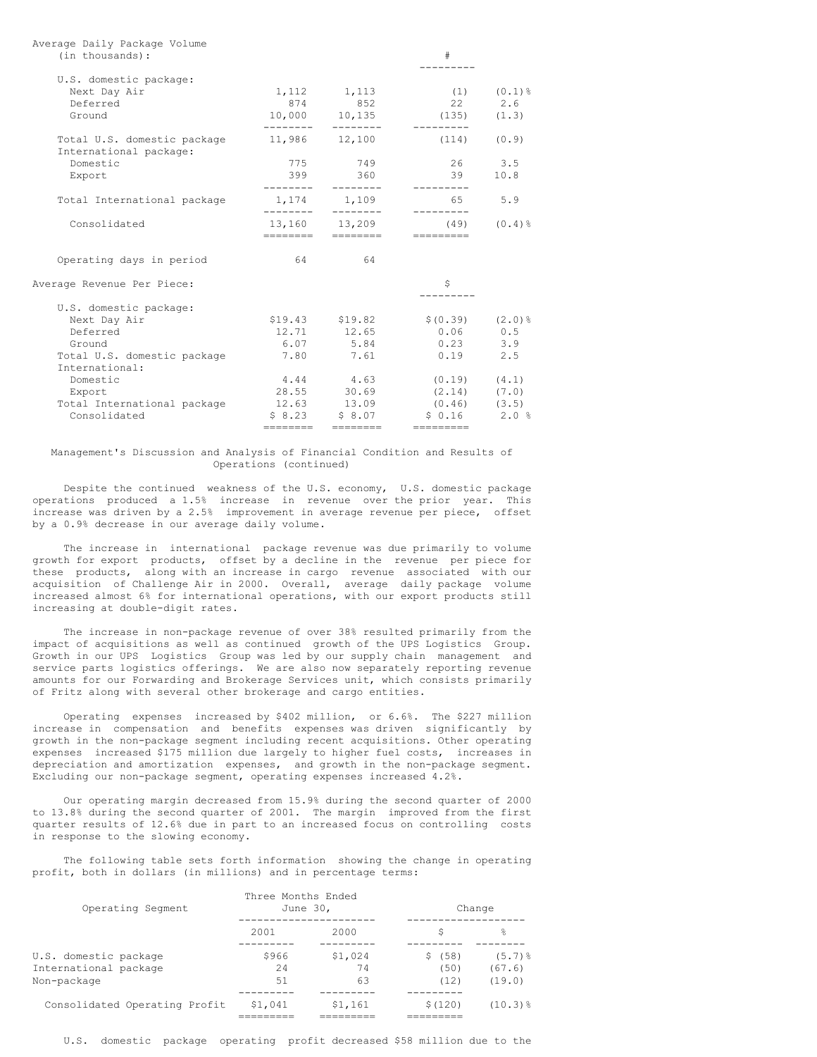| (in thousands):                                                                     |                            |                                                   | $_{\rm \#}$                                                                            |             |
|-------------------------------------------------------------------------------------|----------------------------|---------------------------------------------------|----------------------------------------------------------------------------------------|-------------|
| U.S. domestic package:<br>Next Day Air<br>Deferred<br>Ground                        |                            | 1, 112 1, 113<br>874 852<br>10,000 10,135         | (1)<br>22 2.6<br>$(135)$ $(1.3)$                                                       | $(0.1)$ %   |
| Total U.S. domestic package<br>International package:                               |                            | 11,986 12,100                                     | $(114)$ $(0.9)$                                                                        |             |
| Domestic<br>Export                                                                  | 775<br>399                 | 749<br>360                                        | 26<br>39                                                                               | 3.5<br>10.8 |
| Total International package                                                         | ---------                  | 1,174 1,109<br>$- - - - - - - -$                  | 65 65                                                                                  | 5.9         |
| Consolidated                                                                        | 13,160 13,209<br>--------- | ---------                                         | (49)                                                                                   | $(0.4)$ $%$ |
| Operating days in period                                                            | 64                         | 64                                                |                                                                                        |             |
| Average Revenue Per Piece:                                                          |                            |                                                   | \$                                                                                     |             |
| U.S. domestic package:                                                              |                            |                                                   |                                                                                        |             |
| Next Day Air<br>Deferred<br>Ground<br>Total U.S. domestic package                   | 6.07                       | 12.71 12.65<br>5.84<br>7.80 7.61                  | $$19.43$ $$19.82$ $$(0.39)$ $(2.0)$ <sup>§</sup><br>$0.06$ 0.5<br>0.23<br>0.19         | 3.9<br>2.5  |
| International:<br>Domestic<br>Export<br>Total International package<br>Consolidated | \$8.23                     | 4.44 4.63<br>28.55 30.69<br>12.63 13.09<br>\$8.07 | $(0.19)$ $(4.1)$<br>$(2.14)$ $(7.0)$<br>$(0.46)$ $(3.5)$<br>$$0.16$ 2.0 %<br>_________ |             |

Average Daily Package Volume

#### Management's Discussion and Analysis of Financial Condition and Results of Operations (continued)

Despite the continued weakness of the U.S. economy, U.S. domestic package operations produced a 1.5% increase in revenue over the prior year. This increase was driven by a 2.5% improvement in average revenue per piece, offset by a 0.9% decrease in our average daily volume.

The increase in international package revenue was due primarily to volume growth for export products, offset by a decline in the revenue per piece for these products, along with an increase in cargo revenue associated with our acquisition of Challenge Air in 2000. Overall, average daily package volume increased almost 6% for international operations, with our export products still increasing at double-digit rates.

The increase in non-package revenue of over 38% resulted primarily from the impact of acquisitions as well as continued growth of the UPS Logistics Group. Growth in our UPS Logistics Group was led by our supply chain management and service parts logistics offerings. We are also now separately reporting revenue amounts for our Forwarding and Brokerage Services unit, which consists primarily of Fritz along with several other brokerage and cargo entities.

Operating expenses increased by \$402 million, or 6.6%. The \$227 million increase in compensation and benefits expenses was driven significantly by growth in the non-package segment including recent acquisitions. Other operating expenses increased \$175 million due largely to higher fuel costs, increases in depreciation and amortization expenses, and growth in the non-package segment. Excluding our non-package segment, operating expenses increased 4.2%.

Our operating margin decreased from 15.9% during the second quarter of 2000 to 13.8% during the second quarter of 2001. The margin improved from the first quarter results of 12.6% due in part to an increased focus on controlling costs in response to the slowing economy.

The following table sets forth information showing the change in operating profit, both in dollars (in millions) and in percentage terms:

| Operating Segment                                             | Three Months Ended<br>June 30. |                     | Change                     |                                 |
|---------------------------------------------------------------|--------------------------------|---------------------|----------------------------|---------------------------------|
|                                                               | 2001                           | 2000                | S                          | 옹                               |
| U.S. domestic package<br>International package<br>Non-package | \$966<br>2.4<br>51             | \$1.024<br>74<br>63 | (58)<br>S.<br>(50)<br>(12) | $(5.7)$ $%$<br>(67.6)<br>(19.0) |
| Consolidated Operating Profit                                 | \$1.041                        | \$1,161             | \$(120)                    | $(10.3)$ %                      |

U.S. domestic package operating profit decreased \$58 million due to the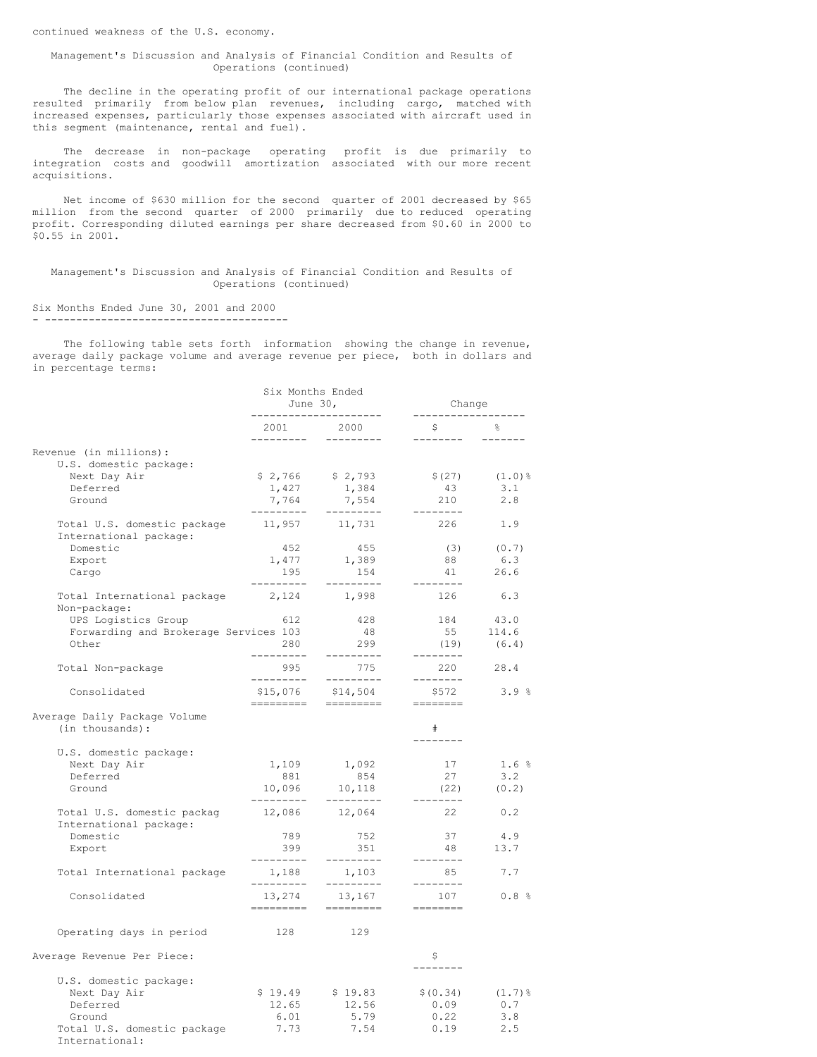#### Management's Discussion and Analysis of Financial Condition and Results of Operations (continued)

The decline in the operating profit of our international package operations resulted primarily from below plan revenues, including cargo, matched with increased expenses, particularly those expenses associated with aircraft used in this segment (maintenance, rental and fuel).

The decrease in non-package operating profit is due primarily to integration costs and goodwill amortization associated with our more recent acquisitions.

Net income of \$630 million for the second quarter of 2001 decreased by \$65 million from the second quarter of 2000 primarily due to reduced operating profit. Corresponding diluted earnings per share decreased from \$0.60 in 2000 to \$0.55 in 2001.

Management's Discussion and Analysis of Financial Condition and Results of Operations (continued)

#### Six Months Ended June 30, 2001 and 2000 - ---------------------------------------

The following table sets forth information showing the change in revenue, average daily package volume and average revenue per piece, both in dollars and in percentage terms:

|                                                         | Six Months Ended<br>June $30$ ,<br>--------------------- |                                                                                                                                                                                                                                                                                                                                                                                                                                                                                                                                                                                                                                                                                                                                          | Change<br>__________________                                                                                                                                                                                                                                                                                                                                                                                                                                                                         |             |
|---------------------------------------------------------|----------------------------------------------------------|------------------------------------------------------------------------------------------------------------------------------------------------------------------------------------------------------------------------------------------------------------------------------------------------------------------------------------------------------------------------------------------------------------------------------------------------------------------------------------------------------------------------------------------------------------------------------------------------------------------------------------------------------------------------------------------------------------------------------------------|------------------------------------------------------------------------------------------------------------------------------------------------------------------------------------------------------------------------------------------------------------------------------------------------------------------------------------------------------------------------------------------------------------------------------------------------------------------------------------------------------|-------------|
|                                                         | 2001 2000                                                | ---------                                                                                                                                                                                                                                                                                                                                                                                                                                                                                                                                                                                                                                                                                                                                | $\mathsf{S}$ and $\mathsf{S}$<br>---------                                                                                                                                                                                                                                                                                                                                                                                                                                                           |             |
| Revenue (in millions):                                  |                                                          |                                                                                                                                                                                                                                                                                                                                                                                                                                                                                                                                                                                                                                                                                                                                          |                                                                                                                                                                                                                                                                                                                                                                                                                                                                                                      |             |
| U.S. domestic package:                                  |                                                          |                                                                                                                                                                                                                                                                                                                                                                                                                                                                                                                                                                                                                                                                                                                                          |                                                                                                                                                                                                                                                                                                                                                                                                                                                                                                      |             |
| Next Day Air                                            |                                                          | $$2,766$ $$2,793$                                                                                                                                                                                                                                                                                                                                                                                                                                                                                                                                                                                                                                                                                                                        | \$(27)                                                                                                                                                                                                                                                                                                                                                                                                                                                                                               | $(1.0)$ %   |
| Deferred                                                | 1,427                                                    | 1,384                                                                                                                                                                                                                                                                                                                                                                                                                                                                                                                                                                                                                                                                                                                                    | 43                                                                                                                                                                                                                                                                                                                                                                                                                                                                                                   | 3.1         |
| Ground                                                  | ----------                                               | 7,764 7,554<br>----------                                                                                                                                                                                                                                                                                                                                                                                                                                                                                                                                                                                                                                                                                                                | 210<br>$- - - - - - - -$                                                                                                                                                                                                                                                                                                                                                                                                                                                                             | 2.8         |
| Total U.S. domestic package<br>International package:   |                                                          | 11,957 11,731                                                                                                                                                                                                                                                                                                                                                                                                                                                                                                                                                                                                                                                                                                                            | 226                                                                                                                                                                                                                                                                                                                                                                                                                                                                                                  | 1.9         |
| Domestic                                                | 452                                                      | 455                                                                                                                                                                                                                                                                                                                                                                                                                                                                                                                                                                                                                                                                                                                                      | (3)                                                                                                                                                                                                                                                                                                                                                                                                                                                                                                  | (0.7)       |
| Export                                                  | 1,477                                                    | 1,389                                                                                                                                                                                                                                                                                                                                                                                                                                                                                                                                                                                                                                                                                                                                    | 88                                                                                                                                                                                                                                                                                                                                                                                                                                                                                                   | 6.3         |
| Cargo                                                   | 195<br>---------                                         | 154<br>---------                                                                                                                                                                                                                                                                                                                                                                                                                                                                                                                                                                                                                                                                                                                         | 41<br>--------                                                                                                                                                                                                                                                                                                                                                                                                                                                                                       | 26.6        |
| Total International package 2,124 1,998<br>Non-package: |                                                          |                                                                                                                                                                                                                                                                                                                                                                                                                                                                                                                                                                                                                                                                                                                                          | 126                                                                                                                                                                                                                                                                                                                                                                                                                                                                                                  | 6.3         |
| UPS Logistics Group                                     | 612                                                      | 428                                                                                                                                                                                                                                                                                                                                                                                                                                                                                                                                                                                                                                                                                                                                      | 184                                                                                                                                                                                                                                                                                                                                                                                                                                                                                                  | 43.0        |
| Forwarding and Brokerage Services 103                   |                                                          | 48                                                                                                                                                                                                                                                                                                                                                                                                                                                                                                                                                                                                                                                                                                                                       | 55                                                                                                                                                                                                                                                                                                                                                                                                                                                                                                   | 114.6       |
| Other                                                   | 280                                                      | 299                                                                                                                                                                                                                                                                                                                                                                                                                                                                                                                                                                                                                                                                                                                                      | (19)                                                                                                                                                                                                                                                                                                                                                                                                                                                                                                 | (6.4)       |
| Total Non-package                                       | ---------<br>995                                         | ----------<br>775                                                                                                                                                                                                                                                                                                                                                                                                                                                                                                                                                                                                                                                                                                                        | --------<br>220                                                                                                                                                                                                                                                                                                                                                                                                                                                                                      | 28.4        |
| Consolidated                                            | ----------                                               | ----------                                                                                                                                                                                                                                                                                                                                                                                                                                                                                                                                                                                                                                                                                                                               | --------<br>\$572<br>$\begin{tabular}{ll} \multicolumn{2}{c}{\textbf{m}} & \multicolumn{2}{c}{\textbf{m}} & \multicolumn{2}{c}{\textbf{m}} & \multicolumn{2}{c}{\textbf{m}} & \multicolumn{2}{c}{\textbf{m}} & \multicolumn{2}{c}{\textbf{m}} & \multicolumn{2}{c}{\textbf{m}} & \multicolumn{2}{c}{\textbf{m}} & \multicolumn{2}{c}{\textbf{m}} & \multicolumn{2}{c}{\textbf{m}} & \multicolumn{2}{c}{\textbf{m}} & \multicolumn{2}{c}{\textbf{m}} & \multicolumn{2}{c}{\textbf{m}} & \multicolumn$ | 3.9%        |
| Average Daily Package Volume<br>(in thousands):         |                                                          |                                                                                                                                                                                                                                                                                                                                                                                                                                                                                                                                                                                                                                                                                                                                          | #<br>--------                                                                                                                                                                                                                                                                                                                                                                                                                                                                                        |             |
| U.S. domestic package:                                  |                                                          |                                                                                                                                                                                                                                                                                                                                                                                                                                                                                                                                                                                                                                                                                                                                          |                                                                                                                                                                                                                                                                                                                                                                                                                                                                                                      |             |
| Next Day Air                                            | 1,109                                                    | 1,092                                                                                                                                                                                                                                                                                                                                                                                                                                                                                                                                                                                                                                                                                                                                    | 17                                                                                                                                                                                                                                                                                                                                                                                                                                                                                                   | 1.6%        |
| Deferred                                                | 881                                                      | 854                                                                                                                                                                                                                                                                                                                                                                                                                                                                                                                                                                                                                                                                                                                                      | 27                                                                                                                                                                                                                                                                                                                                                                                                                                                                                                   | $3 \cdot 2$ |
| Ground                                                  | ---------                                                | 10,096 10,118<br>----------                                                                                                                                                                                                                                                                                                                                                                                                                                                                                                                                                                                                                                                                                                              | (22)<br>--------                                                                                                                                                                                                                                                                                                                                                                                                                                                                                     | (0.2)       |
| Total U.S. domestic packag<br>International package:    | 12,086                                                   | 12,064                                                                                                                                                                                                                                                                                                                                                                                                                                                                                                                                                                                                                                                                                                                                   | 22                                                                                                                                                                                                                                                                                                                                                                                                                                                                                                   | 0.2         |
| Domestic                                                | 789                                                      | 752                                                                                                                                                                                                                                                                                                                                                                                                                                                                                                                                                                                                                                                                                                                                      | 37                                                                                                                                                                                                                                                                                                                                                                                                                                                                                                   | 4.9         |
| Export                                                  | 399                                                      | 351                                                                                                                                                                                                                                                                                                                                                                                                                                                                                                                                                                                                                                                                                                                                      | 48                                                                                                                                                                                                                                                                                                                                                                                                                                                                                                   | 13.7        |
| Total International package                             | ----------<br>1,188                                      | ----------<br>1,103                                                                                                                                                                                                                                                                                                                                                                                                                                                                                                                                                                                                                                                                                                                      | --------<br>85                                                                                                                                                                                                                                                                                                                                                                                                                                                                                       | 7.7         |
| Consolidated                                            | ----------                                               | ----------<br>13, 274 13, 167                                                                                                                                                                                                                                                                                                                                                                                                                                                                                                                                                                                                                                                                                                            | --------<br>107                                                                                                                                                                                                                                                                                                                                                                                                                                                                                      | 0.8%        |
|                                                         | =========                                                | $\qquad \qquad \Rightarrow \qquad \qquad \Rightarrow \qquad \qquad \Rightarrow \qquad \qquad \Rightarrow \qquad \qquad \Rightarrow \qquad \qquad \Rightarrow \qquad \qquad \Rightarrow \qquad \qquad \Rightarrow \qquad \qquad \Rightarrow \qquad \qquad \Rightarrow \qquad \qquad \Rightarrow \qquad \qquad \Rightarrow \qquad \qquad \Rightarrow \qquad \qquad \Rightarrow \qquad \qquad \Rightarrow \qquad \qquad \Rightarrow \qquad \qquad \Rightarrow \qquad \qquad \Rightarrow \qquad \qquad \Rightarrow \qquad \qquad \Rightarrow \qquad \qquad \Rightarrow \qquad \qquad \Rightarrow \qquad \qquad \Rightarrow \qquad \qquad \Rightarrow \qquad \qquad \Rightarrow \qquad \qquad \Rightarrow \qquad \qquad \Rightarrow \qquad \$ | $\begin{tabular}{ll} \multicolumn{2}{c}{\textbf{m}} & \multicolumn{2}{c}{\textbf{m}} & \multicolumn{2}{c}{\textbf{m}} & \multicolumn{2}{c}{\textbf{m}} & \multicolumn{2}{c}{\textbf{m}} & \multicolumn{2}{c}{\textbf{m}} & \multicolumn{2}{c}{\textbf{m}} & \multicolumn{2}{c}{\textbf{m}} & \multicolumn{2}{c}{\textbf{m}} & \multicolumn{2}{c}{\textbf{m}} & \multicolumn{2}{c}{\textbf{m}} & \multicolumn{2}{c}{\textbf{m}} & \multicolumn{2}{c}{\textbf{m}} & \multicolumn$                      |             |
| Operating days in period                                | 128 — 128                                                | 129                                                                                                                                                                                                                                                                                                                                                                                                                                                                                                                                                                                                                                                                                                                                      |                                                                                                                                                                                                                                                                                                                                                                                                                                                                                                      |             |
| Average Revenue Per Piece:                              |                                                          |                                                                                                                                                                                                                                                                                                                                                                                                                                                                                                                                                                                                                                                                                                                                          | \$                                                                                                                                                                                                                                                                                                                                                                                                                                                                                                   |             |
| U.S. domestic package:                                  |                                                          |                                                                                                                                                                                                                                                                                                                                                                                                                                                                                                                                                                                                                                                                                                                                          |                                                                                                                                                                                                                                                                                                                                                                                                                                                                                                      |             |
| Next Day Air                                            | \$19.49                                                  | \$19.83                                                                                                                                                                                                                                                                                                                                                                                                                                                                                                                                                                                                                                                                                                                                  | \$ (0.34)                                                                                                                                                                                                                                                                                                                                                                                                                                                                                            | $(1.7)$ %   |
| Deferred                                                | 12.65                                                    | 12.56                                                                                                                                                                                                                                                                                                                                                                                                                                                                                                                                                                                                                                                                                                                                    | 0.09                                                                                                                                                                                                                                                                                                                                                                                                                                                                                                 | 0.7         |
| Ground                                                  | 6.01                                                     | 5.79                                                                                                                                                                                                                                                                                                                                                                                                                                                                                                                                                                                                                                                                                                                                     | 0.22                                                                                                                                                                                                                                                                                                                                                                                                                                                                                                 | 3.8         |
| Total U.S. domestic package<br>International.           | 7.73                                                     | 7.54                                                                                                                                                                                                                                                                                                                                                                                                                                                                                                                                                                                                                                                                                                                                     | 0.19                                                                                                                                                                                                                                                                                                                                                                                                                                                                                                 | 2.5         |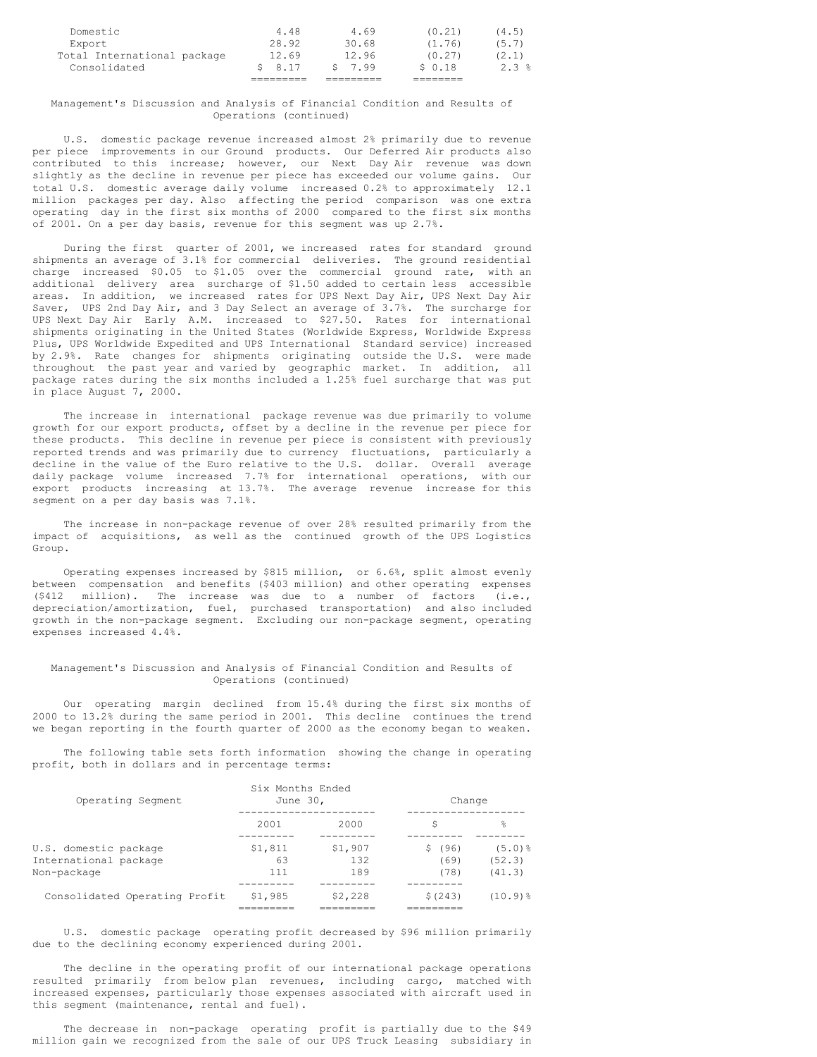| Consolidated                | \$8.17 | 5, 7, 99 | $S_0$ 0.18 | 2.3%  |
|-----------------------------|--------|----------|------------|-------|
| Total International package | 12.69  | 12.96    | (0.27)     | (2.1) |
| Export                      | 28.92  | 30.68    | (1.76)     | (5.7) |
| Domestic                    | 4.48   | 4.69     | (0.21)     | (4.5) |
|                             |        |          |            |       |

## Management's Discussion and Analysis of Financial Condition and Results of Operations (continued)

U.S. domestic package revenue increased almost 2% primarily due to revenue per piece improvements in our Ground products. Our Deferred Air products also contributed to this increase; however, our Next Day Air revenue was down slightly as the decline in revenue per piece has exceeded our volume gains. Our total U.S. domestic average daily volume increased 0.2% to approximately 12.1 million packages per day. Also affecting the period comparison was one extra operating day in the first six months of 2000 compared to the first six months of 2001. On a per day basis, revenue for this segment was up 2.7%.

During the first quarter of 2001, we increased rates for standard ground shipments an average of 3.1% for commercial deliveries. The ground residential charge increased \$0.05 to \$1.05 over the commercial ground rate, with an additional delivery area surcharge of \$1.50 added to certain less accessible areas. In addition, we increased rates for UPS Next Day Air, UPS Next Day Air Saver, UPS 2nd Day Air, and 3 Day Select an average of 3.7%. The surcharge for UPS Next Day Air Early A.M. increased to \$27.50. Rates for international shipments originating in the United States (Worldwide Express, Worldwide Express Plus, UPS Worldwide Expedited and UPS International Standard service) increased by 2.9%. Rate changes for shipments originating outside the U.S. were made throughout the past year and varied by geographic market. In addition, all package rates during the six months included a 1.25% fuel surcharge that was put in place August 7, 2000.

The increase in international package revenue was due primarily to volume growth for our export products, offset by a decline in the revenue per piece for these products. This decline in revenue per piece is consistent with previously reported trends and was primarily due to currency fluctuations, particularly a decline in the value of the Euro relative to the U.S. dollar. Overall average daily package volume increased 7.7% for international operations, with our export products increasing at 13.7%. The average revenue increase for this segment on a per day basis was 7.1%.

The increase in non-package revenue of over 28% resulted primarily from the impact of acquisitions, as well as the continued growth of the UPS Logistics Group.

Operating expenses increased by \$815 million, or 6.6%, split almost evenly between compensation and benefits (\$403 million) and other operating expenses (\$412 million). The increase was due to a number of factors (i.e., depreciation/amortization, fuel, purchased transportation) and also included growth in the non-package segment. Excluding our non-package segment, operating expenses increased 4.4%.

#### Management's Discussion and Analysis of Financial Condition and Results of Operations (continued)

Our operating margin declined from 15.4% during the first six months of 2000 to 13.2% during the same period in 2001. This decline continues the trend we began reporting in the fourth quarter of 2000 as the economy began to weaken.

The following table sets forth information showing the change in operating profit, both in dollars and in percentage terms:

| Operating Segment                                             | Six Months Ended<br>June 30, |                       | Change                 |                                 |
|---------------------------------------------------------------|------------------------------|-----------------------|------------------------|---------------------------------|
|                                                               | 2001                         | 2000                  | S                      | š                               |
| U.S. domestic package<br>International package<br>Non-package | \$1,811<br>63<br>111         | \$1,907<br>132<br>189 | \$(96)<br>(69)<br>(78) | $(5.0)$ $%$<br>(52.3)<br>(41.3) |
| Consolidated Operating Profit                                 | \$1,985                      | \$2,228               | \$(243)                | $(10.9)$ $%$                    |

U.S. domestic package operating profit decreased by \$96 million primarily due to the declining economy experienced during 2001.

The decline in the operating profit of our international package operations resulted primarily from below plan revenues, including cargo, matched with increased expenses, particularly those expenses associated with aircraft used in this segment (maintenance, rental and fuel).

The decrease in non-package operating profit is partially due to the \$49 million gain we recognized from the sale of our UPS Truck Leasing subsidiary in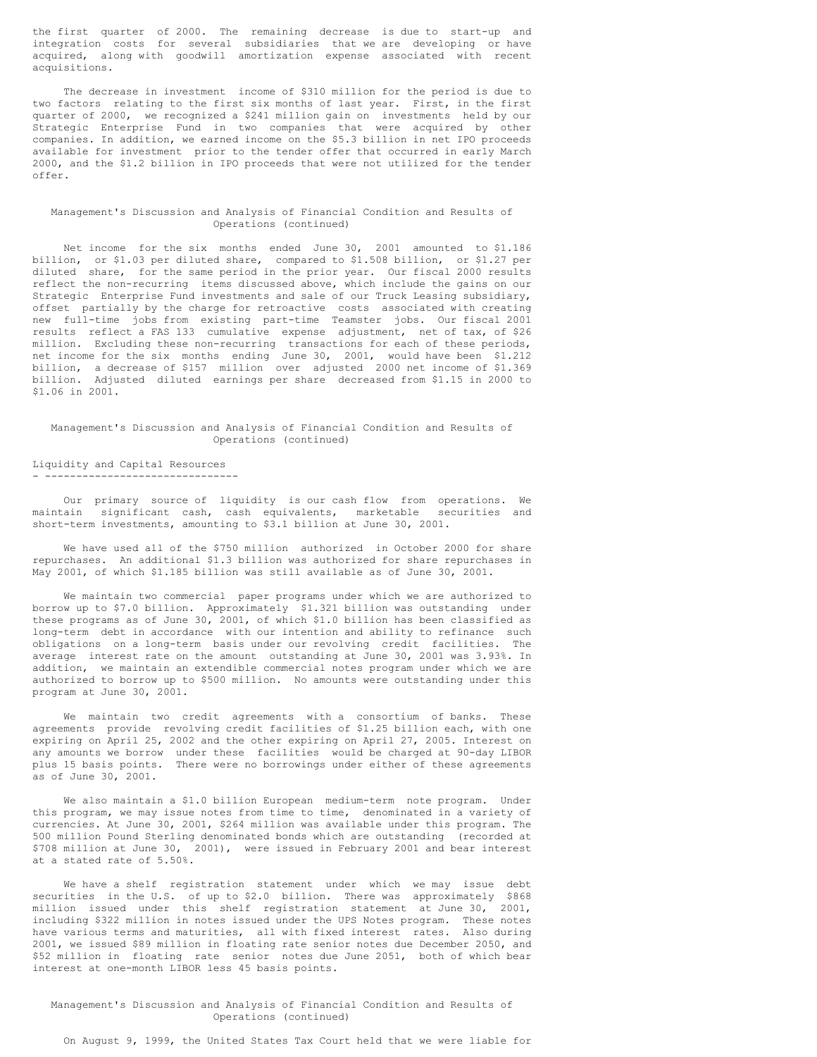the first quarter of 2000. The remaining decrease is due to start-up and integration costs for several subsidiaries that we are developing or have acquired, along with goodwill amortization expense associated with recent acquisitions.

The decrease in investment income of \$310 million for the period is due to two factors relating to the first six months of last year. First, in the first quarter of 2000, we recognized a \$241 million gain on investments held by our Strategic Enterprise Fund in two companies that were acquired by other companies. In addition, we earned income on the \$5.3 billion in net IPO proceeds available for investment prior to the tender offer that occurred in early March 2000, and the \$1.2 billion in IPO proceeds that were not utilized for the tender offer.

## Management's Discussion and Analysis of Financial Condition and Results of Operations (continued)

Net income for the six months ended June 30, 2001 amounted to \$1.186 billion, or \$1.03 per diluted share, compared to \$1.508 billion, or \$1.27 per diluted share, for the same period in the prior year. Our fiscal 2000 results reflect the non-recurring items discussed above, which include the gains on our Strategic Enterprise Fund investments and sale of our Truck Leasing subsidiary, offset partially by the charge for retroactive costs associated with creating new full-time jobs from existing part-time Teamster jobs. Our fiscal 2001 results reflect a FAS 133 cumulative expense adjustment, net of tax, of \$26 million. Excluding these non-recurring transactions for each of these periods, net income for the six months ending June 30, 2001, would have been \$1.212 billion, a decrease of \$157 million over adjusted 2000 net income of \$1.369 billion. Adjusted diluted earnings per share decreased from \$1.15 in 2000 to \$1.06 in 2001.

#### Management's Discussion and Analysis of Financial Condition and Results of Operations (continued)

#### Liquidity and Capital Resources - -------------------------------

Our primary source of liquidity is our cash flow from operations. We maintain significant cash, cash equivalents, marketable securities and short-term investments, amounting to \$3.1 billion at June 30, 2001.

We have used all of the \$750 million authorized in October 2000 for share repurchases. An additional \$1.3 billion was authorized for share repurchases in May 2001, of which \$1.185 billion was still available as of June 30, 2001.

We maintain two commercial paper programs under which we are authorized to borrow up to \$7.0 billion. Approximately \$1.321 billion was outstanding under these programs as of June 30, 2001, of which \$1.0 billion has been classified as long-term debt in accordance with our intention and ability to refinance such obligations on a long-term basis under our revolving credit facilities. The average interest rate on the amount outstanding at June 30, 2001 was 3.93%. In addition, we maintain an extendible commercial notes program under which we are authorized to borrow up to \$500 million. No amounts were outstanding under this program at June 30, 2001.

We maintain two credit agreements with a consortium of banks. These agreements provide revolving credit facilities of \$1.25 billion each, with one expiring on April 25, 2002 and the other expiring on April 27, 2005. Interest on any amounts we borrow under these facilities would be charged at 90-day LIBOR plus 15 basis points. There were no borrowings under either of these agreements as of June 30, 2001.

We also maintain a \$1.0 billion European medium-term note program. Under this program, we may issue notes from time to time, denominated in a variety of currencies. At June 30, 2001, \$264 million was available under this program. The 500 million Pound Sterling denominated bonds which are outstanding (recorded at \$708 million at June 30, 2001), were issued in February 2001 and bear interest at a stated rate of 5.50%.

We have a shelf registration statement under which we may issue debt securities in the U.S. of up to \$2.0 billion. There was approximately \$868 million issued under this shelf registration statement at June 30, 2001, including \$322 million in notes issued under the UPS Notes program. These notes have various terms and maturities, all with fixed interest rates. Also during 2001, we issued \$89 million in floating rate senior notes due December 2050, and \$52 million in floating rate senior notes due June 2051, both of which bear interest at one-month LIBOR less 45 basis points.

Management's Discussion and Analysis of Financial Condition and Results of Operations (continued)

On August 9, 1999, the United States Tax Court held that we were liable for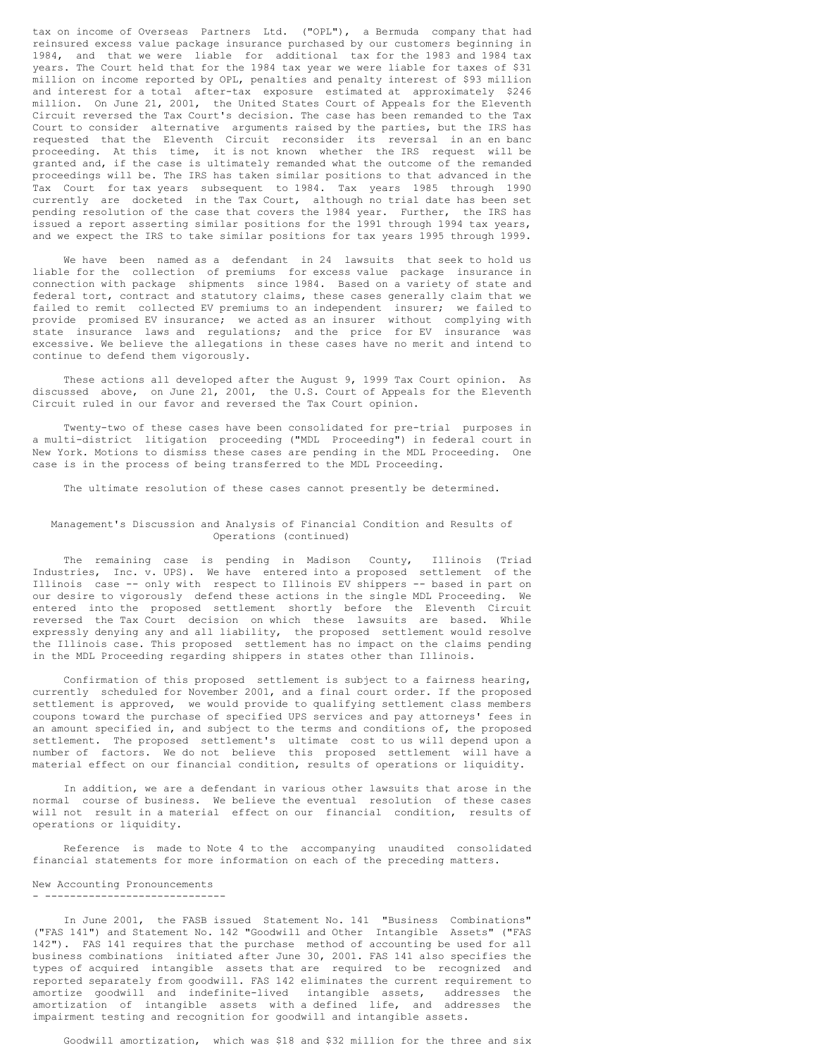tax on income of Overseas Partners Ltd. ("OPL"), a Bermuda company that had reinsured excess value package insurance purchased by our customers beginning in 1984, and that we were liable for additional tax for the 1983 and 1984 tax years. The Court held that for the 1984 tax year we were liable for taxes of \$31 million on income reported by OPL, penalties and penalty interest of \$93 million and interest for a total after-tax exposure estimated at approximately \$246 million. On June 21, 2001, the United States Court of Appeals for the Eleventh Circuit reversed the Tax Court's decision. The case has been remanded to the Tax Court to consider alternative arguments raised by the parties, but the IRS has requested that the Eleventh Circuit reconsider its reversal in an en banc proceeding. At this time, it is not known whether the IRS request will be granted and, if the case is ultimately remanded what the outcome of the remanded proceedings will be. The IRS has taken similar positions to that advanced in the Tax Court for tax years subsequent to 1984. Tax years 1985 through 1990 currently are docketed in the Tax Court, although no trial date has been set pending resolution of the case that covers the 1984 year. Further, the IRS has issued a report asserting similar positions for the 1991 through 1994 tax years, and we expect the IRS to take similar positions for tax years 1995 through 1999.

We have been named as a defendant in 24 lawsuits that seek to hold us liable for the collection of premiums for excess value package insurance in connection with package shipments since 1984. Based on a variety of state and federal tort, contract and statutory claims, these cases generally claim that we failed to remit collected EV premiums to an independent insurer; we failed to provide promised EV insurance; we acted as an insurer without complying with state insurance laws and regulations; and the price for EV insurance was excessive. We believe the allegations in these cases have no merit and intend to continue to defend them vigorously.

These actions all developed after the August 9, 1999 Tax Court opinion. As discussed above, on June 21, 2001, the U.S. Court of Appeals for the Eleventh Circuit ruled in our favor and reversed the Tax Court opinion.

Twenty-two of these cases have been consolidated for pre-trial purposes in a multi-district litigation proceeding ("MDL Proceeding") in federal court in New York. Motions to dismiss these cases are pending in the MDL Proceeding. One case is in the process of being transferred to the MDL Proceeding.

The ultimate resolution of these cases cannot presently be determined.

#### Management's Discussion and Analysis of Financial Condition and Results of Operations (continued)

The remaining case is pending in Madison County, Illinois (Triad Industries, Inc. v. UPS). We have entered into a proposed settlement of the Illinois case -- only with respect to Illinois EV shippers -- based in part on our desire to vigorously defend these actions in the single MDL Proceeding. We entered into the proposed settlement shortly before the Eleventh Circuit reversed the Tax Court decision on which these lawsuits are based. While expressly denying any and all liability, the proposed settlement would resolve the Illinois case. This proposed settlement has no impact on the claims pending in the MDL Proceeding regarding shippers in states other than Illinois.

Confirmation of this proposed settlement is subject to a fairness hearing, currently scheduled for November 2001, and a final court order. If the proposed settlement is approved, we would provide to qualifying settlement class members coupons toward the purchase of specified UPS services and pay attorneys' fees in an amount specified in, and subject to the terms and conditions of, the proposed settlement. The proposed settlement's ultimate cost to us will depend upon a number of factors. We do not believe this proposed settlement will have a material effect on our financial condition, results of operations or liquidity.

In addition, we are a defendant in various other lawsuits that arose in the normal course of business. We believe the eventual resolution of these cases will not result in a material effect on our financial condition, results of operations or liquidity.

Reference is made to Note 4 to the accompanying unaudited consolidated financial statements for more information on each of the preceding matters.

#### New Accounting Pronouncements - -----------------------------

In June 2001, the FASB issued Statement No. 141 "Business Combinations" ("FAS 141") and Statement No. 142 "Goodwill and Other Intangible Assets" ("FAS 142"). FAS 141 requires that the purchase method of accounting be used for all business combinations initiated after June 30, 2001. FAS 141 also specifies the types of acquired intangible assets that are required to be recognized and reported separately from goodwill. FAS 142 eliminates the current requirement to amortize goodwill and indefinite-lived intangible assets, addresses the amortization of intangible assets with a defined life, and addresses the impairment testing and recognition for goodwill and intangible assets.

Goodwill amortization, which was \$18 and \$32 million for the three and six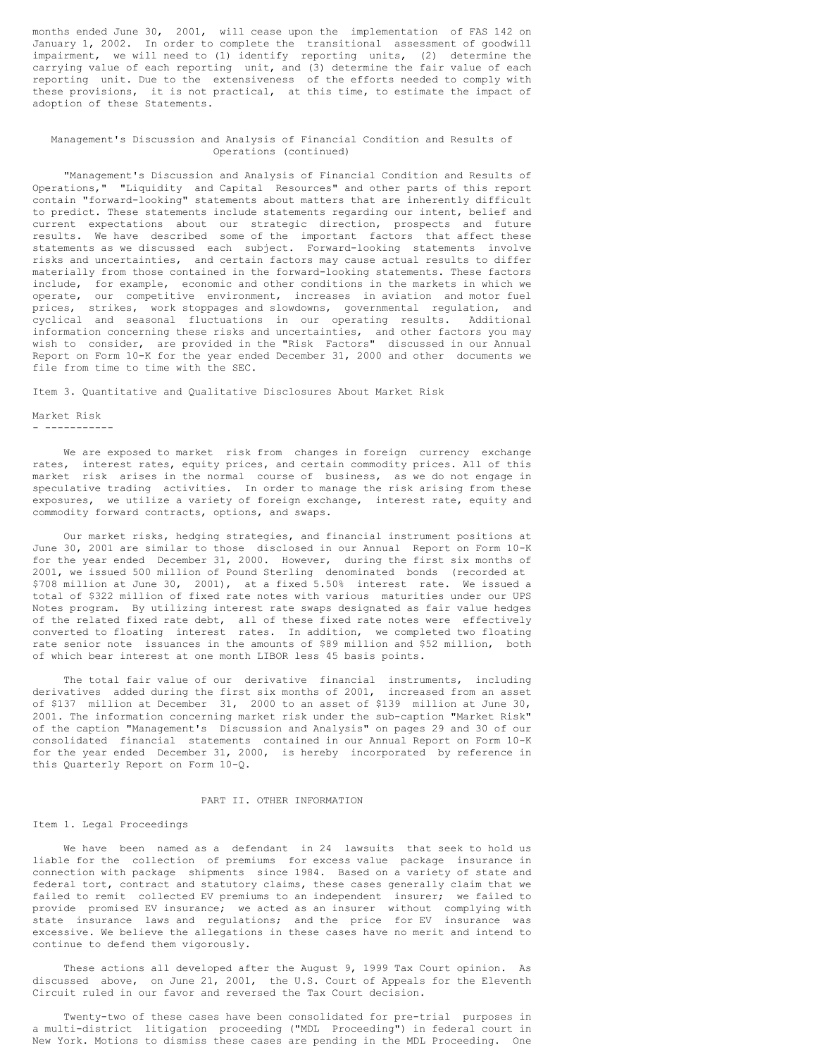months ended June 30, 2001, will cease upon the implementation of FAS 142 on January 1, 2002. In order to complete the transitional assessment of goodwill impairment, we will need to (1) identify reporting units, (2) determine the carrying value of each reporting unit, and (3) determine the fair value of each reporting unit. Due to the extensiveness of the efforts needed to comply with these provisions, it is not practical, at this time, to estimate the impact of adoption of these Statements.

#### Management's Discussion and Analysis of Financial Condition and Results of Operations (continued)

"Management's Discussion and Analysis of Financial Condition and Results of Operations," "Liquidity and Capital Resources" and other parts of this report contain "forward-looking" statements about matters that are inherently difficult to predict. These statements include statements regarding our intent, belief and current expectations about our strategic direction, prospects and future results. We have described some of the important factors that affect these statements as we discussed each subject. Forward-looking statements involve risks and uncertainties, and certain factors may cause actual results to differ materially from those contained in the forward-looking statements. These factors include, for example, economic and other conditions in the markets in which we operate, our competitive environment, increases in aviation and motor fuel prices, strikes, work stoppages and slowdowns, governmental regulation, and cyclical and seasonal fluctuations in our operating results. Additional information concerning these risks and uncertainties, and other factors you may wish to consider, are provided in the "Risk Factors" discussed in our Annual Report on Form 10-K for the year ended December 31, 2000 and other documents we file from time to time with the SEC.

Item 3. Quantitative and Qualitative Disclosures About Market Risk

Market Risk - -----------

We are exposed to market risk from changes in foreign currency exchange rates, interest rates, equity prices, and certain commodity prices. All of this market risk arises in the normal course of business, as we do not engage in speculative trading activities. In order to manage the risk arising from these exposures, we utilize a variety of foreign exchange, interest rate, equity and commodity forward contracts, options, and swaps.

Our market risks, hedging strategies, and financial instrument positions at June 30, 2001 are similar to those disclosed in our Annual Report on Form 10-K for the year ended December 31, 2000. However, during the first six months of 2001, we issued 500 million of Pound Sterling denominated bonds (recorded at \$708 million at June 30, 2001), at a fixed 5.50% interest rate. We issued a total of \$322 million of fixed rate notes with various maturities under our UPS Notes program. By utilizing interest rate swaps designated as fair value hedges of the related fixed rate debt, all of these fixed rate notes were effectively converted to floating interest rates. In addition, we completed two floating rate senior note issuances in the amounts of \$89 million and \$52 million, both of which bear interest at one month LIBOR less 45 basis points.

The total fair value of our derivative financial instruments, including derivatives added during the first six months of 2001, increased from an asset of \$137 million at December 31, 2000 to an asset of \$139 million at June 30, 2001. The information concerning market risk under the sub-caption "Market Risk" of the caption "Management's Discussion and Analysis" on pages 29 and 30 of our consolidated financial statements contained in our Annual Report on Form 10-K for the year ended December 31, 2000, is hereby incorporated by reference in this Quarterly Report on Form 10-Q.

#### PART II. OTHER INFORMATION

#### Item 1. Legal Proceedings

We have been named as a defendant in 24 lawsuits that seek to hold us liable for the collection of premiums for excess value package insurance in connection with package shipments since 1984. Based on a variety of state and federal tort, contract and statutory claims, these cases generally claim that we failed to remit collected EV premiums to an independent insurer; we failed to provide promised EV insurance; we acted as an insurer without complying with state insurance laws and regulations; and the price for EV insurance was excessive. We believe the allegations in these cases have no merit and intend to continue to defend them vigorously.

These actions all developed after the August 9, 1999 Tax Court opinion. As discussed above, on June 21, 2001, the U.S. Court of Appeals for the Eleventh Circuit ruled in our favor and reversed the Tax Court decision.

Twenty-two of these cases have been consolidated for pre-trial purposes in a multi-district litigation proceeding ("MDL Proceeding") in federal court in New York. Motions to dismiss these cases are pending in the MDL Proceeding. One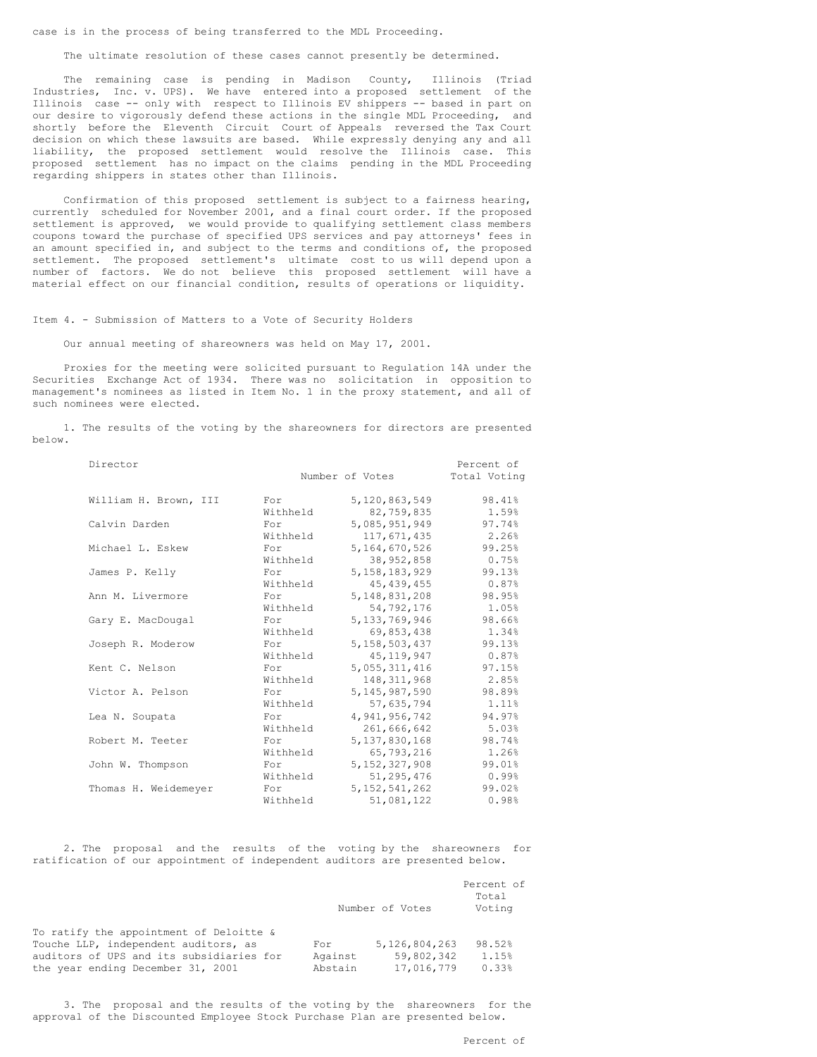case is in the process of being transferred to the MDL Proceeding.

The ultimate resolution of these cases cannot presently be determined.

The remaining case is pending in Madison County, Illinois (Triad Industries, Inc. v. UPS). We have entered into a proposed settlement of the Illinois case -- only with respect to Illinois EV shippers -- based in part on our desire to vigorously defend these actions in the single MDL Proceeding, and shortly before the Eleventh Circuit Court of Appeals reversed the Tax Court decision on which these lawsuits are based. While expressly denying any and all liability, the proposed settlement would resolve the Illinois case. This proposed settlement has no impact on the claims pending in the MDL Proceeding regarding shippers in states other than Illinois.

Confirmation of this proposed settlement is subject to a fairness hearing, currently scheduled for November 2001, and a final court order. If the proposed settlement is approved, we would provide to qualifying settlement class members coupons toward the purchase of specified UPS services and pay attorneys' fees in an amount specified in, and subject to the terms and conditions of, the proposed settlement. The proposed settlement's ultimate cost to us will depend upon a number of factors. We do not believe this proposed settlement will have a material effect on our financial condition, results of operations or liquidity.

#### Item 4. - Submission of Matters to a Vote of Security Holders

Our annual meeting of shareowners was held on May 17, 2001.

Proxies for the meeting were solicited pursuant to Regulation 14A under the Securities Exchange Act of 1934. There was no solicitation in opposition to management's nominees as listed in Item No. 1 in the proxy statement, and all of such nominees were elected.

1. The results of the voting by the shareowners for directors are presented below.

| Director              |          |                  | Percent of   |
|-----------------------|----------|------------------|--------------|
|                       |          | Number of Votes  | Total Voting |
| William H. Brown, III | For      | 5,120,863,549    | 98.41%       |
|                       | Withheld | 82,759,835       | 1.59%        |
| Calvin Darden         | For      | 5,085,951,949    | 97.74%       |
|                       | Withheld | 117,671,435      | 2.26%        |
| Michael L. Eskew      | For      | 5,164,670,526    | 99.25%       |
|                       | Withheld | 38,952,858       | 0.75%        |
| James P. Kelly        | For      | 5, 158, 183, 929 | 99.13%       |
|                       | Withheld | 45, 439, 455     | 0.87%        |
| Ann M. Livermore      | For      | 5, 148, 831, 208 | 98.95%       |
|                       | Withheld | 54,792,176       | 1.05%        |
| Gary E. MacDougal     | For      | 5,133,769,946    | 98.66%       |
|                       | Withheld | 69,853,438       | 1.34%        |
| Joseph R. Moderow     | For      | 5,158,503,437    | 99.13%       |
|                       | Withheld | 45, 119, 947     | 0.87%        |
| Kent C. Nelson        | For      | 5,055,311,416    | 97.15%       |
|                       | Withheld | 148, 311, 968    | 2.85%        |
| Victor A. Pelson      | For      | 5, 145, 987, 590 | 98.89%       |
|                       | Withheld | 57,635,794       | 1.11%        |
| Lea N. Soupata        | For      | 4,941,956,742    | 94.97%       |
|                       | Withheld | 261,666,642      | 5.03%        |
| Robert M. Teeter      | For      | 5,137,830,168    | 98.74%       |
|                       | Withheld | 65,793,216       | 1.26%        |
| John W. Thompson      | For      | 5, 152, 327, 908 | 99.01%       |
|                       | Withheld | 51,295,476       | 0.99%        |
| Thomas H. Weidemeyer  | For      | 5, 152, 541, 262 | 99.02%       |
|                       | Withheld | 51,081,122       | 0.98%        |

2. The proposal and the results of the voting by the shareowners for ratification of our appointment of independent auditors are presented below.

|                                                                                                                                                                  |                           | Number of Votes                           | Percent of<br>Total<br>Voting |
|------------------------------------------------------------------------------------------------------------------------------------------------------------------|---------------------------|-------------------------------------------|-------------------------------|
| To ratify the appointment of Deloitte &<br>Touche LLP, independent auditors, as<br>auditors of UPS and its subsidiaries for<br>the year ending December 31, 2001 | For<br>Against<br>Abstain | 5,126,804,263<br>59,802,342<br>17,016,779 | 98.52%<br>1.15%<br>0.33%      |

3. The proposal and the results of the voting by the shareowners for the approval of the Discounted Employee Stock Purchase Plan are presented below.